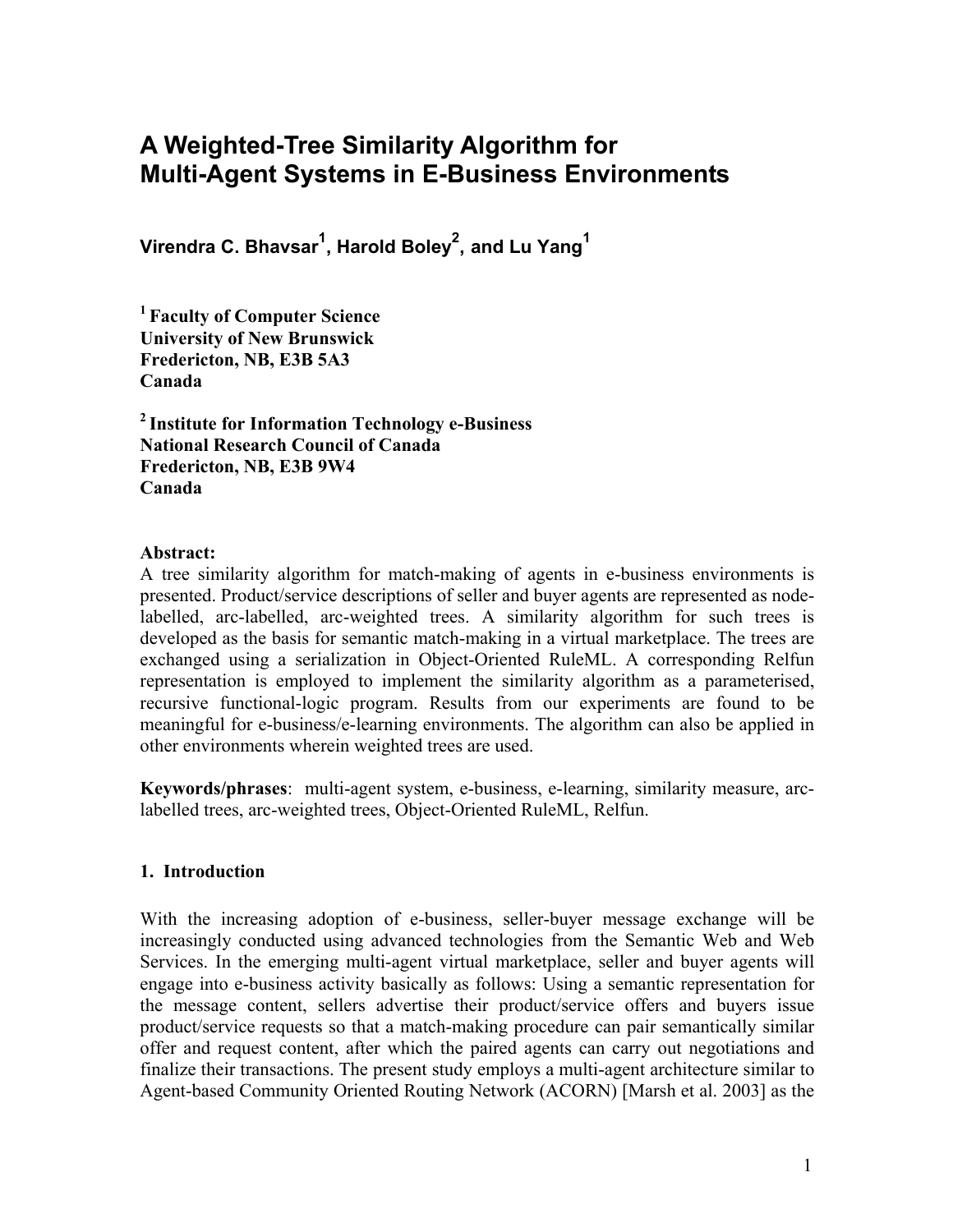# **A Weighted-Tree Similarity Algorithm for Multi-Agent Systems in E-Business Environments**

**Virendra C. Bhavsar1 , Harold Boley2 , and Lu Yang1**

**<sup>1</sup> Faculty of Computer Science University of New Brunswick Fredericton, NB, E3B 5A3 Canada** 

**<sup>2</sup> Institute for Information Technology e-Business National Research Council of Canada Fredericton, NB, E3B 9W4 Canada**

### **Abstract:**

A tree similarity algorithm for match-making of agents in e-business environments is presented. Product/service descriptions of seller and buyer agents are represented as nodelabelled, arc-labelled, arc-weighted trees. A similarity algorithm for such trees is developed as the basis for semantic match-making in a virtual marketplace. The trees are exchanged using a serialization in Object-Oriented RuleML. A corresponding Relfun representation is employed to implement the similarity algorithm as a parameterised, recursive functional-logic program. Results from our experiments are found to be meaningful for e-business/e-learning environments. The algorithm can also be applied in other environments wherein weighted trees are used.

**Keywords/phrases**: multi-agent system, e-business, e-learning, similarity measure, arclabelled trees, arc-weighted trees, Object-Oriented RuleML, Relfun.

### **1. Introduction**

With the increasing adoption of e-business, seller-buyer message exchange will be increasingly conducted using advanced technologies from the Semantic Web and Web Services. In the emerging multi-agent virtual marketplace, seller and buyer agents will engage into e-business activity basically as follows: Using a semantic representation for the message content, sellers advertise their product/service offers and buyers issue product/service requests so that a match-making procedure can pair semantically similar offer and request content, after which the paired agents can carry out negotiations and finalize their transactions. The present study employs a multi-agent architecture similar to Agent-based Community Oriented Routing Network (ACORN) [Marsh et al. 2003] as the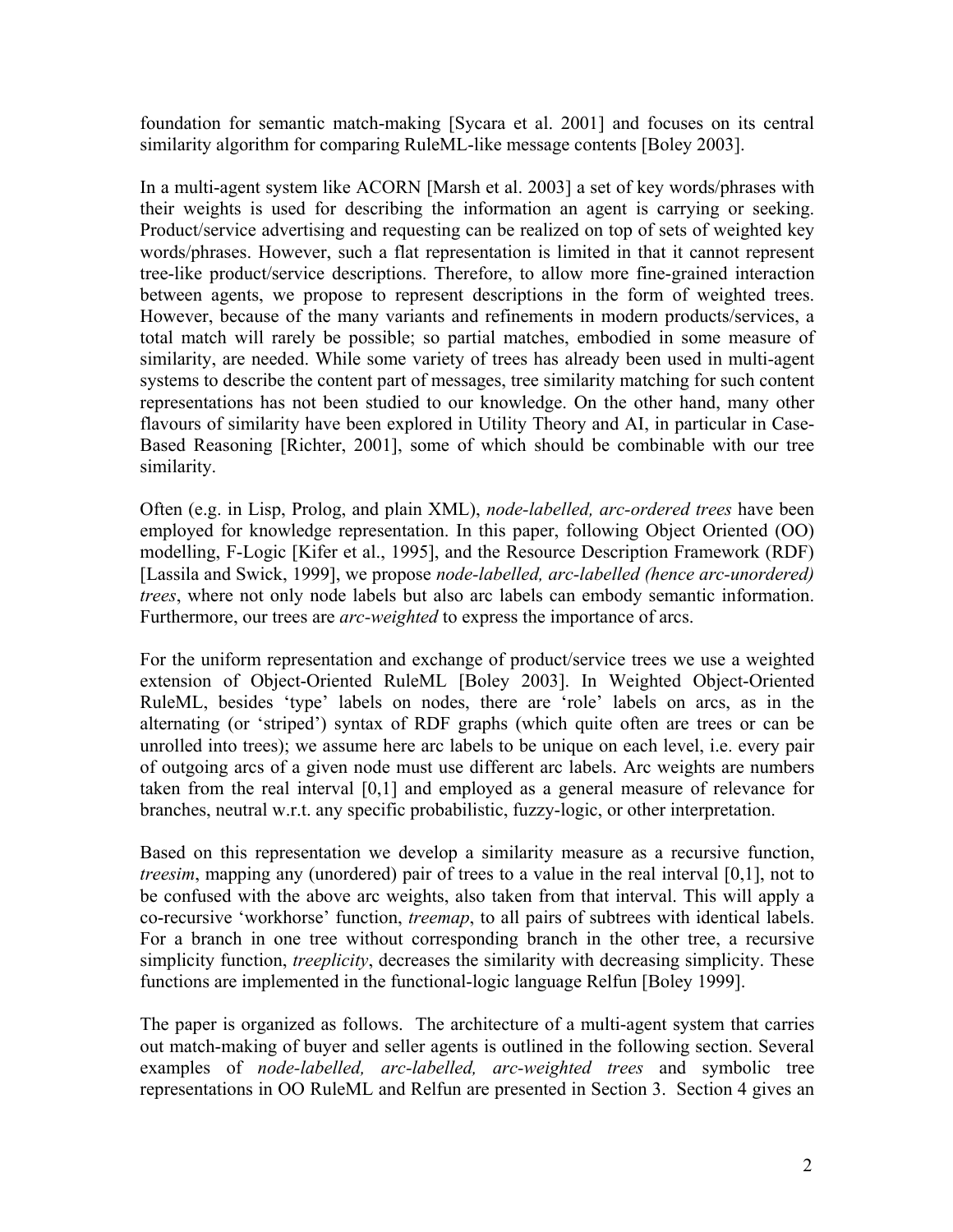foundation for semantic match-making [Sycara et al. 2001] and focuses on its central similarity algorithm for comparing RuleML-like message contents [Boley 2003].

In a multi-agent system like ACORN [Marsh et al. 2003] a set of key words/phrases with their weights is used for describing the information an agent is carrying or seeking. Product/service advertising and requesting can be realized on top of sets of weighted key words/phrases. However, such a flat representation is limited in that it cannot represent tree-like product/service descriptions. Therefore, to allow more fine-grained interaction between agents, we propose to represent descriptions in the form of weighted trees. However, because of the many variants and refinements in modern products/services, a total match will rarely be possible; so partial matches, embodied in some measure of similarity, are needed. While some variety of trees has already been used in multi-agent systems to describe the content part of messages, tree similarity matching for such content representations has not been studied to our knowledge. On the other hand, many other flavours of similarity have been explored in Utility Theory and AI, in particular in Case-Based Reasoning [Richter, 2001], some of which should be combinable with our tree similarity.

Often (e.g. in Lisp, Prolog, and plain XML), *node-labelled, arc-ordered trees* have been employed for knowledge representation. In this paper, following Object Oriented (OO) modelling, F-Logic [Kifer et al., 1995], and the Resource Description Framework (RDF) [Lassila and Swick, 1999], we propose *node-labelled, arc-labelled (hence arc-unordered) trees*, where not only node labels but also arc labels can embody semantic information. Furthermore, our trees are *arc-weighted* to express the importance of arcs.

For the uniform representation and exchange of product/service trees we use a weighted extension of Object-Oriented RuleML [Boley 2003]. In Weighted Object-Oriented RuleML, besides 'type' labels on nodes, there are 'role' labels on arcs, as in the alternating (or 'striped') syntax of RDF graphs (which quite often are trees or can be unrolled into trees); we assume here arc labels to be unique on each level, i.e. every pair of outgoing arcs of a given node must use different arc labels. Arc weights are numbers taken from the real interval [0,1] and employed as a general measure of relevance for branches, neutral w.r.t. any specific probabilistic, fuzzy-logic, or other interpretation.

Based on this representation we develop a similarity measure as a recursive function, *treesim*, mapping any (unordered) pair of trees to a value in the real interval [0,1], not to be confused with the above arc weights, also taken from that interval. This will apply a co-recursive 'workhorse' function, *treemap*, to all pairs of subtrees with identical labels. For a branch in one tree without corresponding branch in the other tree, a recursive simplicity function, *treeplicity*, decreases the similarity with decreasing simplicity. These functions are implemented in the functional-logic language Relfun [Boley 1999].

The paper is organized as follows. The architecture of a multi-agent system that carries out match-making of buyer and seller agents is outlined in the following section. Several examples of *node-labelled, arc-labelled, arc-weighted trees* and symbolic tree representations in OO RuleML and Relfun are presented in Section 3. Section 4 gives an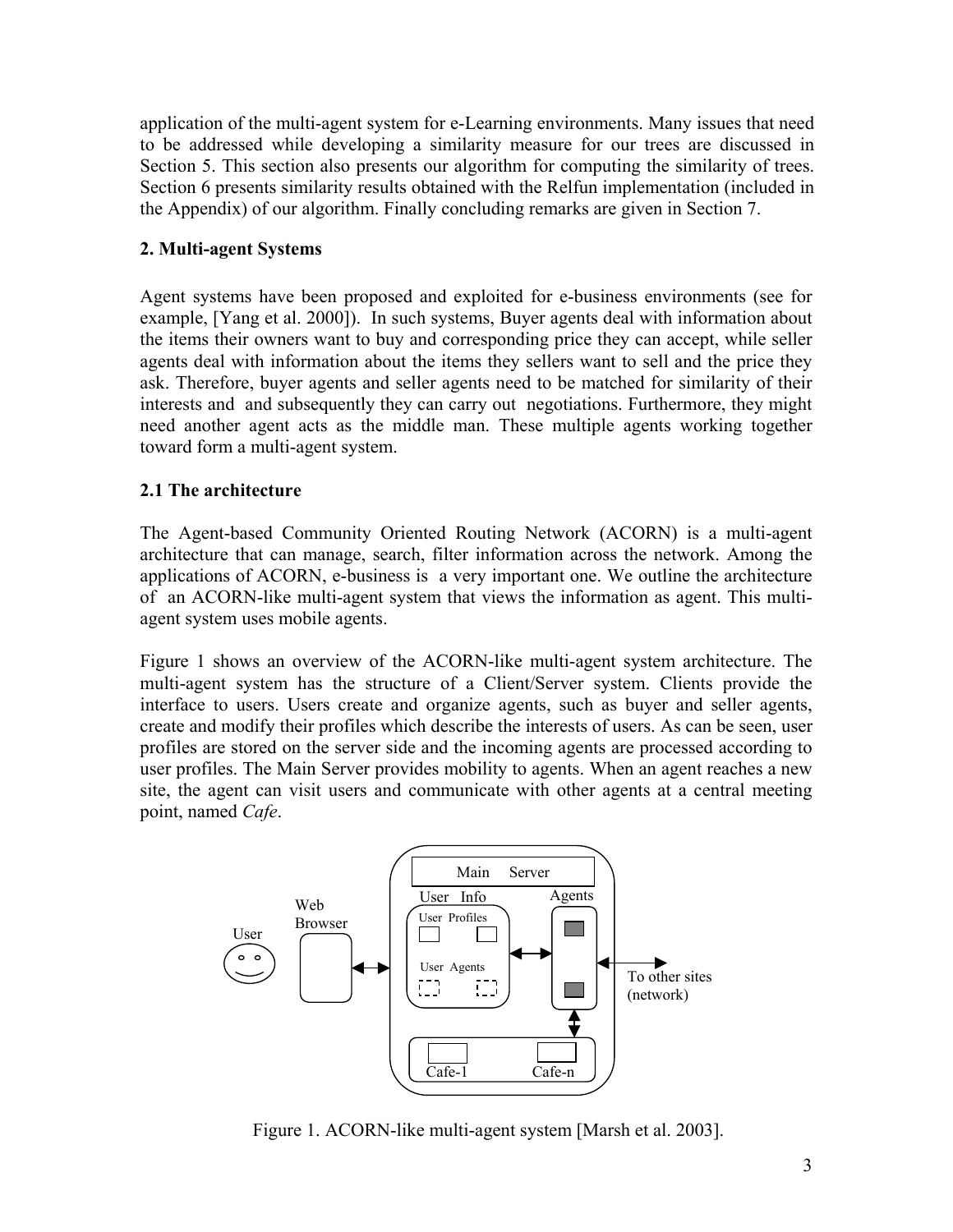application of the multi-agent system for e-Learning environments. Many issues that need to be addressed while developing a similarity measure for our trees are discussed in Section 5. This section also presents our algorithm for computing the similarity of trees. Section 6 presents similarity results obtained with the Relfun implementation (included in the Appendix) of our algorithm. Finally concluding remarks are given in Section 7.

# **2. Multi-agent Systems**

Agent systems have been proposed and exploited for e-business environments (see for example, [Yang et al. 2000]). In such systems, Buyer agents deal with information about the items their owners want to buy and corresponding price they can accept, while seller agents deal with information about the items they sellers want to sell and the price they ask. Therefore, buyer agents and seller agents need to be matched for similarity of their interests and and subsequently they can carry out negotiations. Furthermore, they might need another agent acts as the middle man. These multiple agents working together toward form a multi-agent system.

# **2.1 The architecture**

The Agent-based Community Oriented Routing Network (ACORN) is a multi-agent architecture that can manage, search, filter information across the network. Among the applications of ACORN, e-business is a very important one. We outline the architecture of an ACORN-like multi-agent system that views the information as agent. This multiagent system uses mobile agents.

Figure 1 shows an overview of the ACORN-like multi-agent system architecture. The multi-agent system has the structure of a Client/Server system. Clients provide the interface to users. Users create and organize agents, such as buyer and seller agents, create and modify their profiles which describe the interests of users. As can be seen, user profiles are stored on the server side and the incoming agents are processed according to user profiles. The Main Server provides mobility to agents. When an agent reaches a new site, the agent can visit users and communicate with other agents at a central meeting point, named *Cafe*.



Figure 1. ACORN-like multi-agent system [Marsh et al. 2003].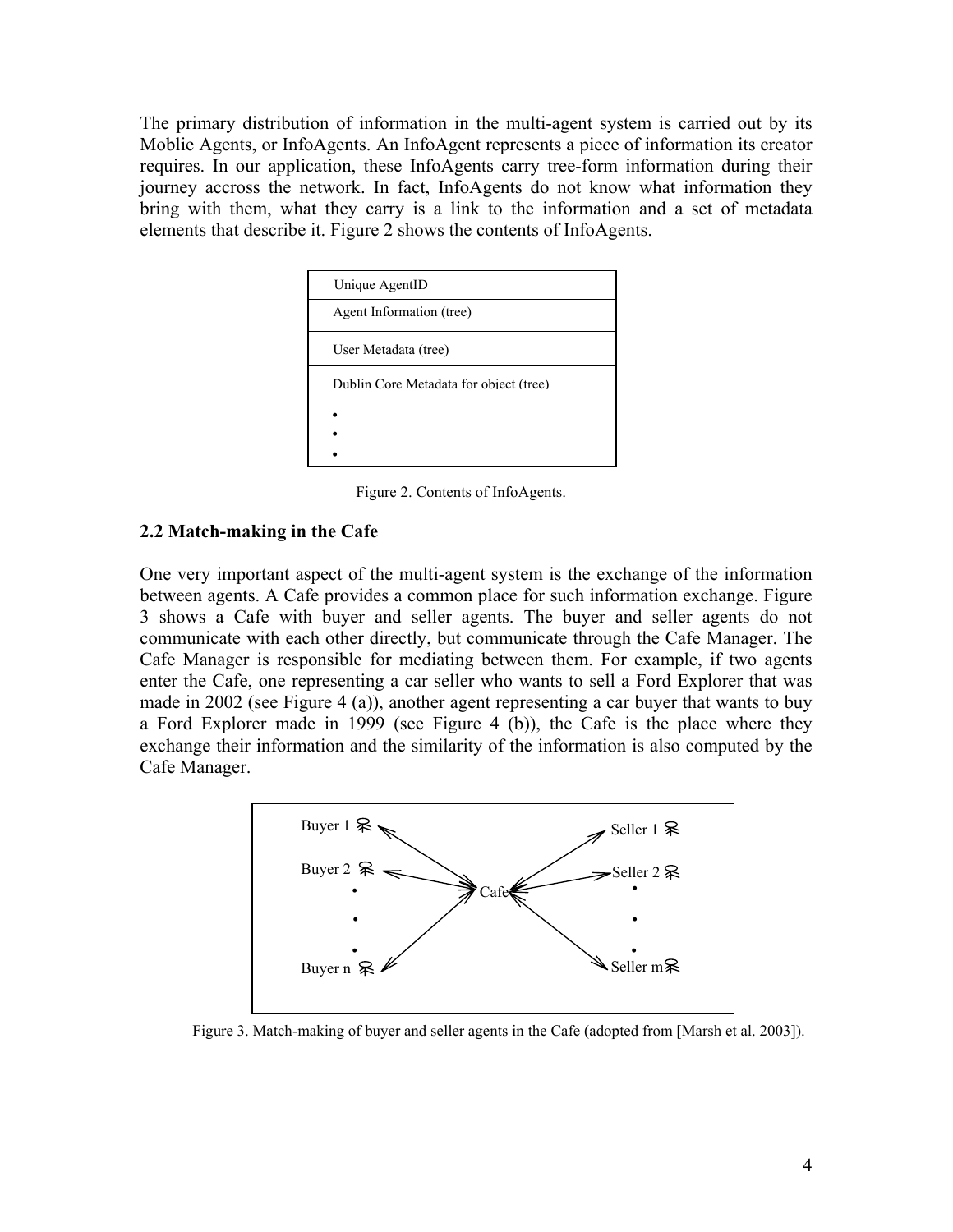The primary distribution of information in the multi-agent system is carried out by its Moblie Agents, or InfoAgents. An InfoAgent represents a piece of information its creator requires. In our application, these InfoAgents carry tree-form information during their journey accross the network. In fact, InfoAgents do not know what information they bring with them, what they carry is a link to the information and a set of metadata elements that describe it. Figure 2 shows the contents of InfoAgents.

| Unique AgentID                         |
|----------------------------------------|
| Agent Information (tree)               |
| User Metadata (tree)                   |
| Dublin Core Metadata for object (tree) |
|                                        |
|                                        |
|                                        |

Figure 2. Contents of InfoAgents.

### **2.2 Match-making in the Cafe**

One very important aspect of the multi-agent system is the exchange of the information between agents. A Cafe provides a common place for such information exchange. Figure 3 shows a Cafe with buyer and seller agents. The buyer and seller agents do not communicate with each other directly, but communicate through the Cafe Manager. The Cafe Manager is responsible for mediating between them. For example, if two agents enter the Cafe, one representing a car seller who wants to sell a Ford Explorer that was made in 2002 (see Figure 4 (a)), another agent representing a car buyer that wants to buy a Ford Explorer made in 1999 (see Figure 4 (b)), the Cafe is the place where they exchange their information and the similarity of the information is also computed by the Cafe Manager.



Figure 3. Match-making of buyer and seller agents in the Cafe (adopted from [Marsh et al. 2003]).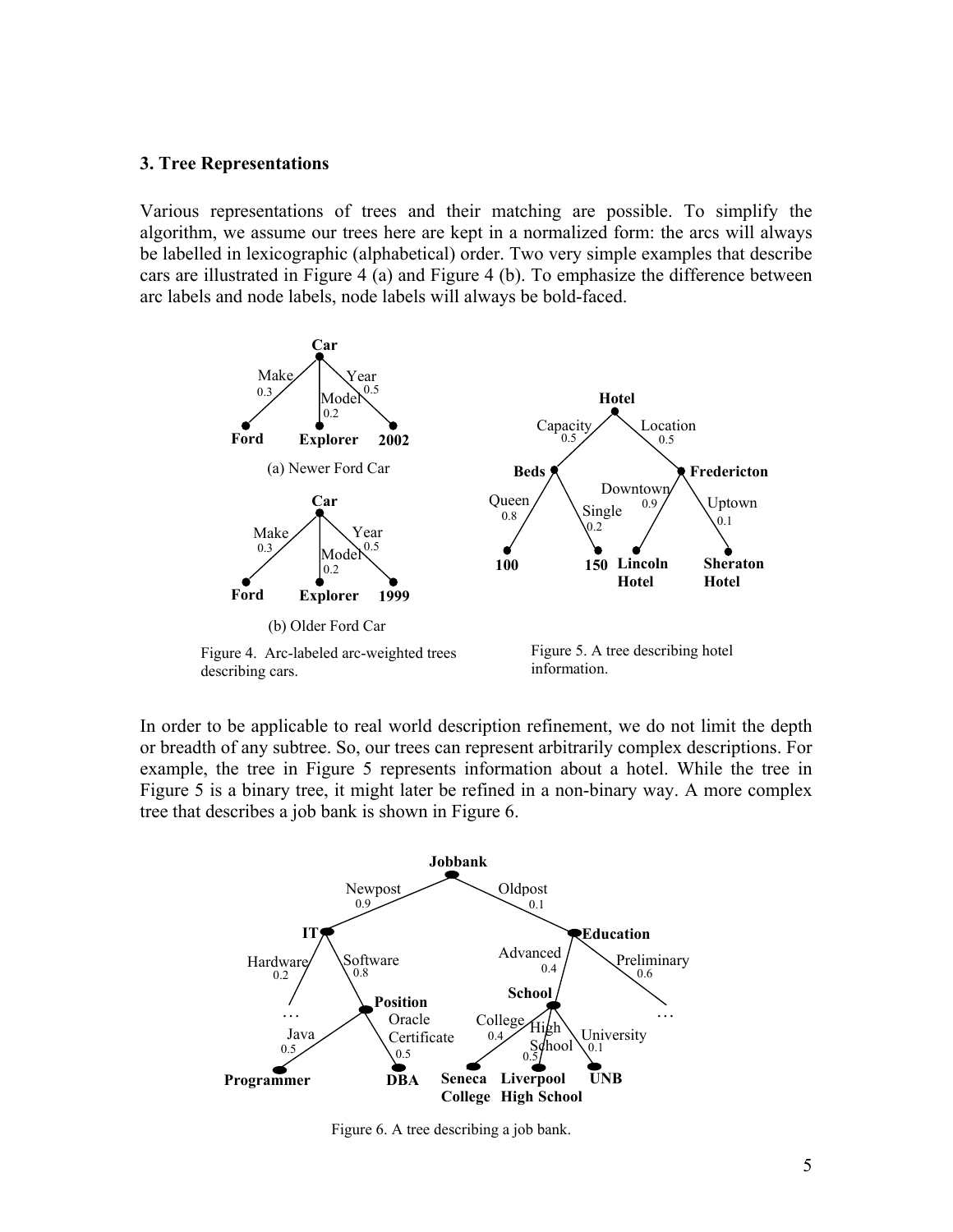#### **3. Tree Representations**

Various representations of trees and their matching are possible. To simplify the algorithm, we assume our trees here are kept in a normalized form: the arcs will always be labelled in lexicographic (alphabetical) order. Two very simple examples that describe cars are illustrated in Figure 4 (a) and Figure 4 (b). To emphasize the difference between arc labels and node labels, node labels will always be bold-faced.



In order to be applicable to real world description refinement, we do not limit the depth or breadth of any subtree. So, our trees can represent arbitrarily complex descriptions. For example, the tree in Figure 5 represents information about a hotel. While the tree in Figure 5 is a binary tree, it might later be refined in a non-binary way. A more complex tree that describes a job bank is shown in Figure 6.



Figure 6. A tree describing a job bank.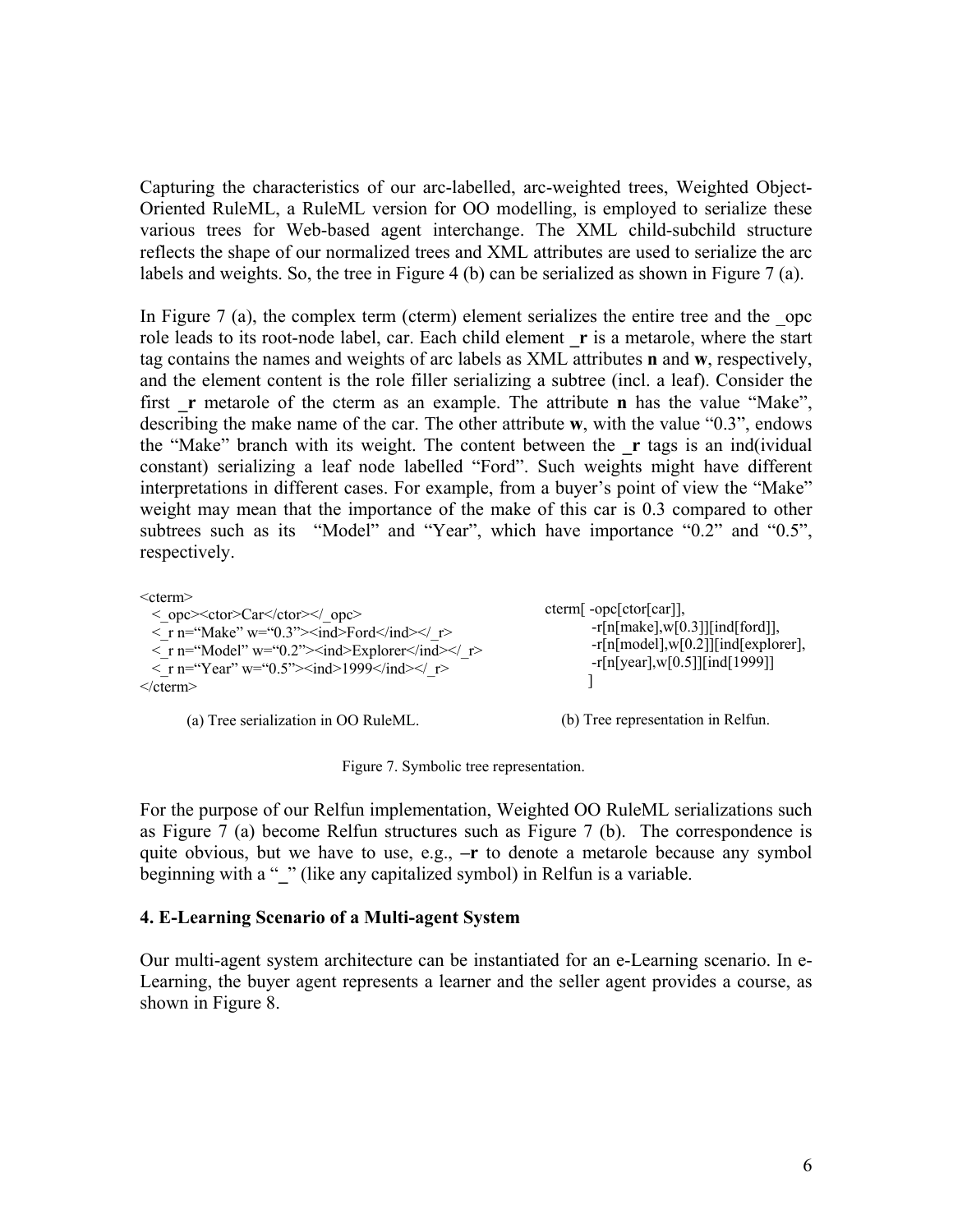Capturing the characteristics of our arc-labelled, arc-weighted trees, Weighted Object-Oriented RuleML, a RuleML version for OO modelling, is employed to serialize these various trees for Web-based agent interchange. The XML child-subchild structure reflects the shape of our normalized trees and XML attributes are used to serialize the arc labels and weights. So, the tree in Figure 4 (b) can be serialized as shown in Figure 7 (a).

In Figure  $7$  (a), the complex term (cterm) element serializes the entire tree and the opc role leads to its root-node label, car. Each child element **\_r** is a metarole, where the start tag contains the names and weights of arc labels as XML attributes **n** and **w**, respectively, and the element content is the role filler serializing a subtree (incl. a leaf). Consider the first **r** metarole of the cterm as an example. The attribute **n** has the value "Make", describing the make name of the car. The other attribute **w**, with the value "0.3", endows the "Make" branch with its weight. The content between the **\_r** tags is an ind(ividual constant) serializing a leaf node labelled "Ford". Such weights might have different interpretations in different cases. For example, from a buyer's point of view the "Make" weight may mean that the importance of the make of this car is 0.3 compared to other subtrees such as its "Model" and "Year", which have importance "0.2" and "0.5", respectively.

 $<$ cterm $>$ 

| $\langle$ opc> $\langle$ ctor> $\langle$ ctor> $\langle$ opc><br>$\langle$ r n="Make" w="0.3"> $\langle$ ind>Ford $\langle$ ind> $\langle$ r><br>$\langle$ r n="Model" w="0.2"> $\langle$ ind>Explorer $\langle$ ind> $\langle$ r><br>$\langle$ r n="Year" w="0.5"> $\langle$ ind>1999 $\langle$ ind> $\langle$ r><br>$\le$ /cterm $>$ | $cterm[-opc[ctor[car]],$<br>$-r[n[\text{make}], w[0.3]][\text{ind}[\text{ford}]],$<br>$-r[n[model], w[0.2]][ind[explofer],$<br>$-r[n[year], w[0.5]][ind[1999]]$ |
|----------------------------------------------------------------------------------------------------------------------------------------------------------------------------------------------------------------------------------------------------------------------------------------------------------------------------------------|-----------------------------------------------------------------------------------------------------------------------------------------------------------------|
| (a) Tree serialization in OO RuleML.                                                                                                                                                                                                                                                                                                   | (b) Tree representation in Relfun.                                                                                                                              |

Figure 7. Symbolic tree representation.

For the purpose of our Relfun implementation, Weighted OO RuleML serializations such as Figure 7 (a) become Relfun structures such as Figure 7 (b). The correspondence is quite obvious, but we have to use, e.g., **–r** to denote a metarole because any symbol beginning with a " " (like any capitalized symbol) in Relfun is a variable.

#### **4. E-Learning Scenario of a Multi-agent System**

Our multi-agent system architecture can be instantiated for an e-Learning scenario. In e-Learning, the buyer agent represents a learner and the seller agent provides a course, as shown in Figure 8.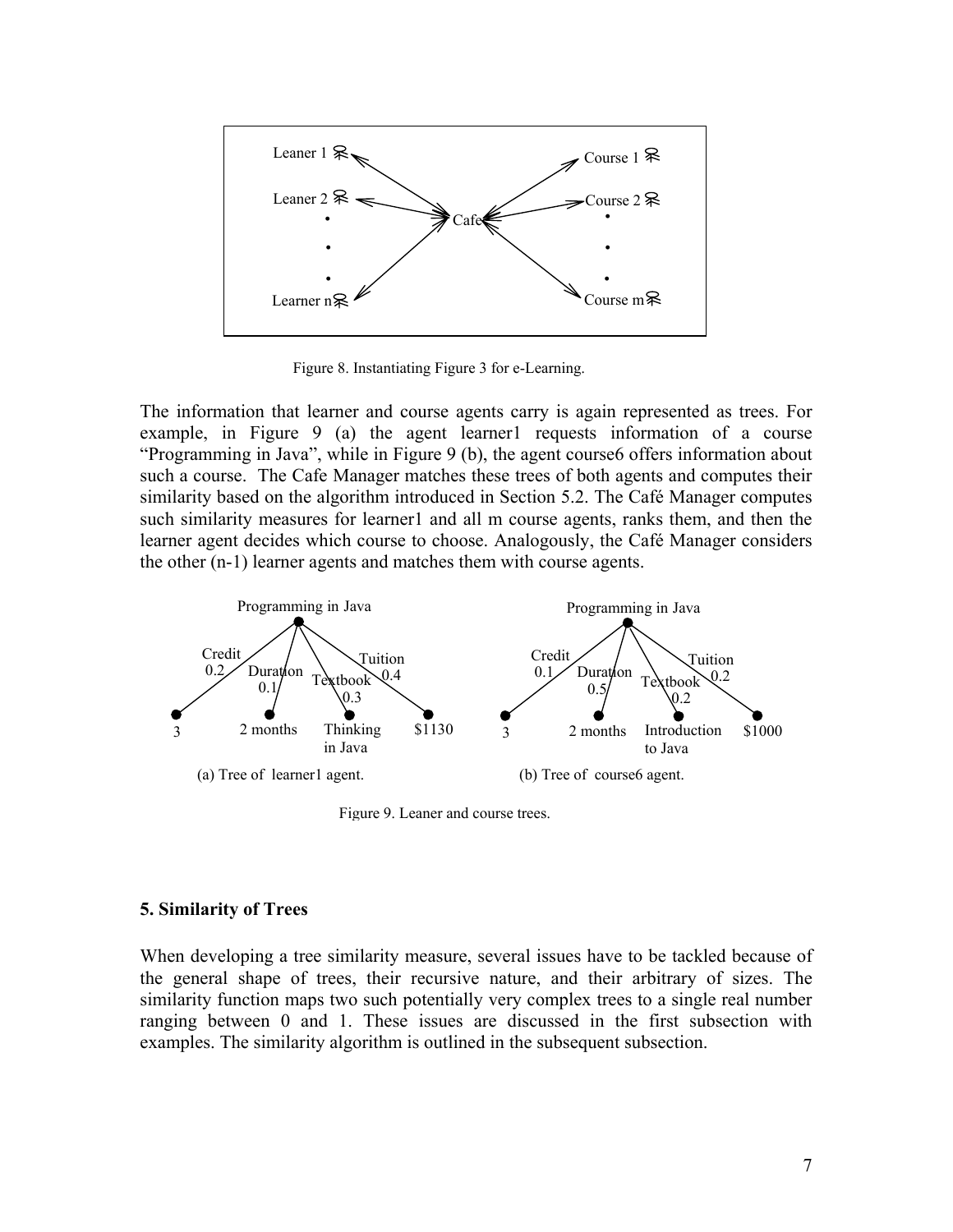

Figure 8. Instantiating Figure 3 for e-Learning.

The information that learner and course agents carry is again represented as trees. For example, in Figure 9 (a) the agent learner 1 requests information of a course "Programming in Java", while in Figure 9 (b), the agent course6 offers information about such a course. The Cafe Manager matches these trees of both agents and computes their similarity based on the algorithm introduced in Section 5.2. The Café Manager computes such similarity measures for learner1 and all m course agents, ranks them, and then the learner agent decides which course to choose. Analogously, the Café Manager considers the other (n-1) learner agents and matches them with course agents.



Figure 9. Leaner and course trees.

#### **5. Similarity of Trees**

When developing a tree similarity measure, several issues have to be tackled because of the general shape of trees, their recursive nature, and their arbitrary of sizes. The similarity function maps two such potentially very complex trees to a single real number ranging between 0 and 1. These issues are discussed in the first subsection with examples. The similarity algorithm is outlined in the subsequent subsection.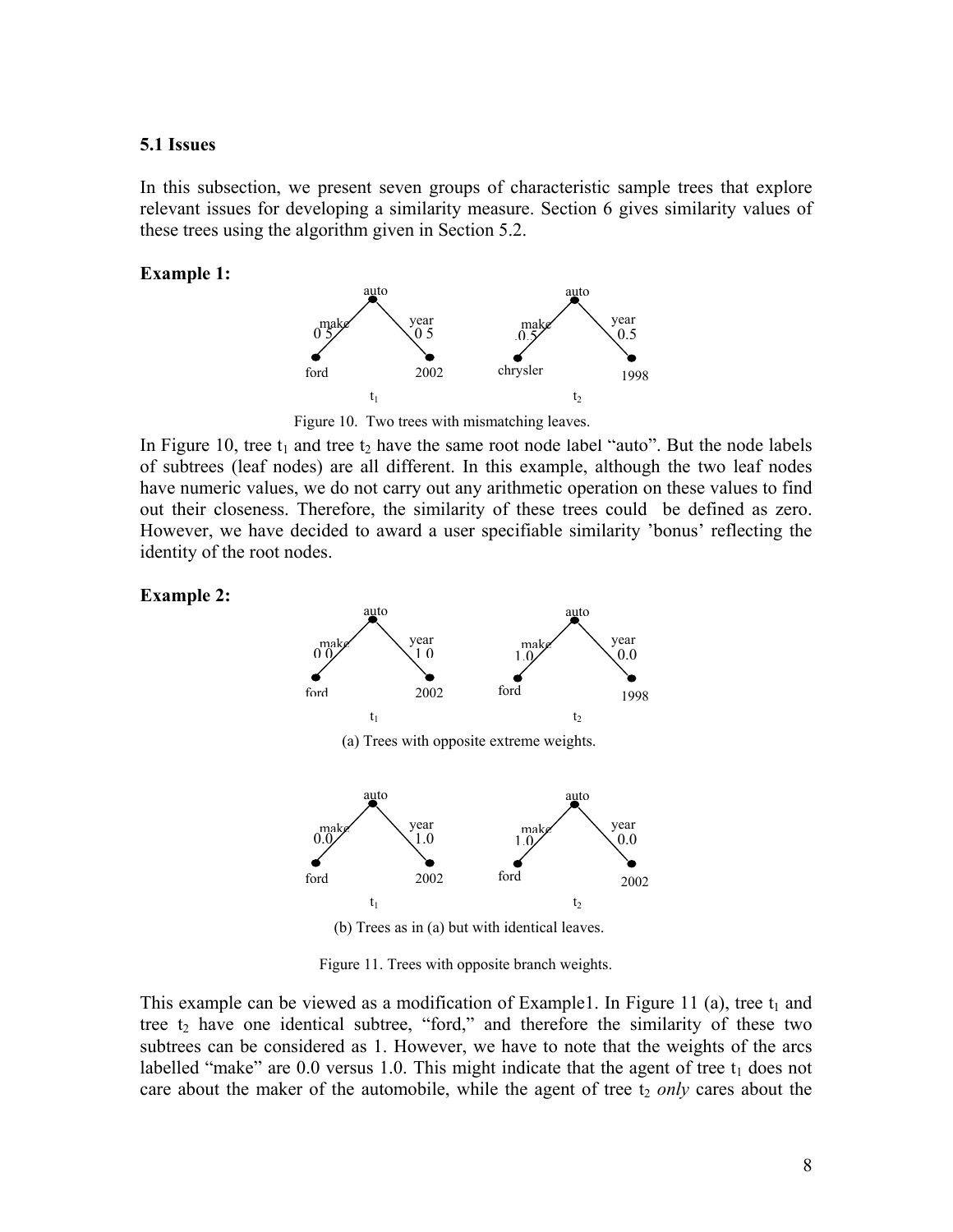### **5.1 Issues**

In this subsection, we present seven groups of characteristic sample trees that explore relevant issues for developing a similarity measure. Section 6 gives similarity values of these trees using the algorithm given in Section 5.2.

#### **Example 1:**



Figure 10. Two trees with mismatching leaves.

In Figure 10, tree  $t_1$  and tree  $t_2$  have the same root node label "auto". But the node labels of subtrees (leaf nodes) are all different. In this example, although the two leaf nodes have numeric values, we do not carry out any arithmetic operation on these values to find out their closeness. Therefore, the similarity of these trees could be defined as zero. However, we have decided to award a user specifiable similarity 'bonus' reflecting the identity of the root nodes.

### **Example 2:**



(b) Trees as in (a) but with identical leaves.

Figure 11. Trees with opposite branch weights.

This example can be viewed as a modification of Example1. In Figure 11 (a), tree  $t_1$  and tree  $t_2$  have one identical subtree, "ford," and therefore the similarity of these two subtrees can be considered as 1. However, we have to note that the weights of the arcs labelled "make" are  $0.0$  versus 1.0. This might indicate that the agent of tree  $t_1$  does not care about the maker of the automobile, while the agent of tree  $t_2$  *only* cares about the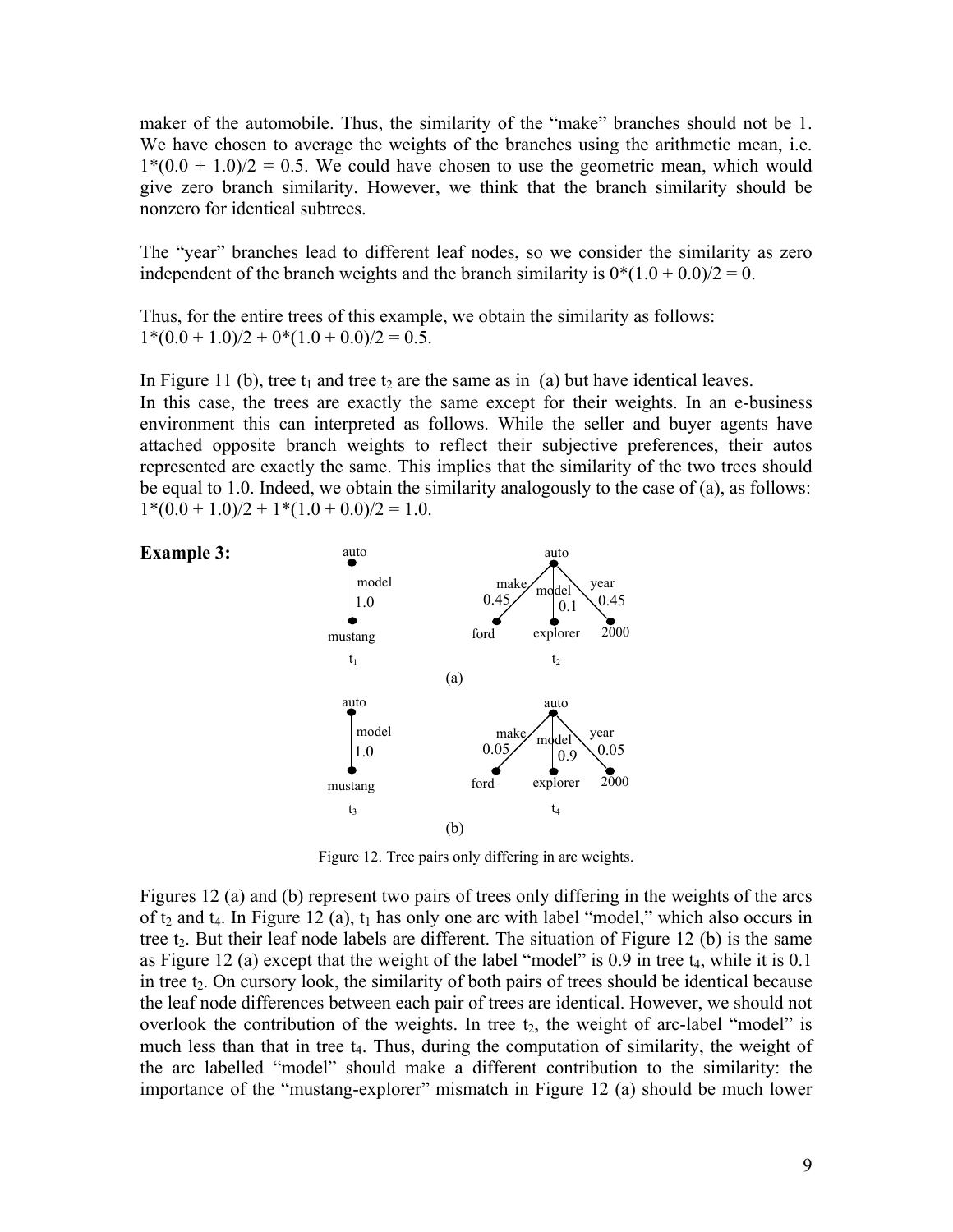maker of the automobile. Thus, the similarity of the "make" branches should not be 1. We have chosen to average the weights of the branches using the arithmetic mean, i.e.  $1*(0.0 + 1.0)/2 = 0.5$ . We could have chosen to use the geometric mean, which would give zero branch similarity. However, we think that the branch similarity should be nonzero for identical subtrees.

The "year" branches lead to different leaf nodes, so we consider the similarity as zero independent of the branch weights and the branch similarity is  $0*(1.0 + 0.0)/2 = 0$ .

Thus, for the entire trees of this example, we obtain the similarity as follows:  $1*(0.0 + 1.0)/2 + 0*(1.0 + 0.0)/2 = 0.5$ .

In Figure 11 (b), tree  $t_1$  and tree  $t_2$  are the same as in (a) but have identical leaves. In this case, the trees are exactly the same except for their weights. In an e-business environment this can interpreted as follows. While the seller and buyer agents have attached opposite branch weights to reflect their subjective preferences, their autos represented are exactly the same. This implies that the similarity of the two trees should be equal to 1.0. Indeed, we obtain the similarity analogously to the case of (a), as follows:  $1*(0.0 + 1.0)/2 + 1*(1.0 + 0.0)/2 = 1.0.$ 



Figure 12. Tree pairs only differing in arc weights.

Figures 12 (a) and (b) represent two pairs of trees only differing in the weights of the arcs of t<sub>2</sub> and t<sub>4</sub>. In Figure 12 (a),  $t_1$  has only one arc with label "model," which also occurs in tree t<sub>2</sub>. But their leaf node labels are different. The situation of Figure 12 (b) is the same as Figure 12 (a) except that the weight of the label "model" is  $0.9$  in tree  $t_4$ , while it is  $0.1$ in tree  $t_2$ . On cursory look, the similarity of both pairs of trees should be identical because the leaf node differences between each pair of trees are identical. However, we should not overlook the contribution of the weights. In tree  $t_2$ , the weight of arc-label "model" is much less than that in tree t<sub>4</sub>. Thus, during the computation of similarity, the weight of the arc labelled "model" should make a different contribution to the similarity: the importance of the "mustang-explorer" mismatch in Figure 12 (a) should be much lower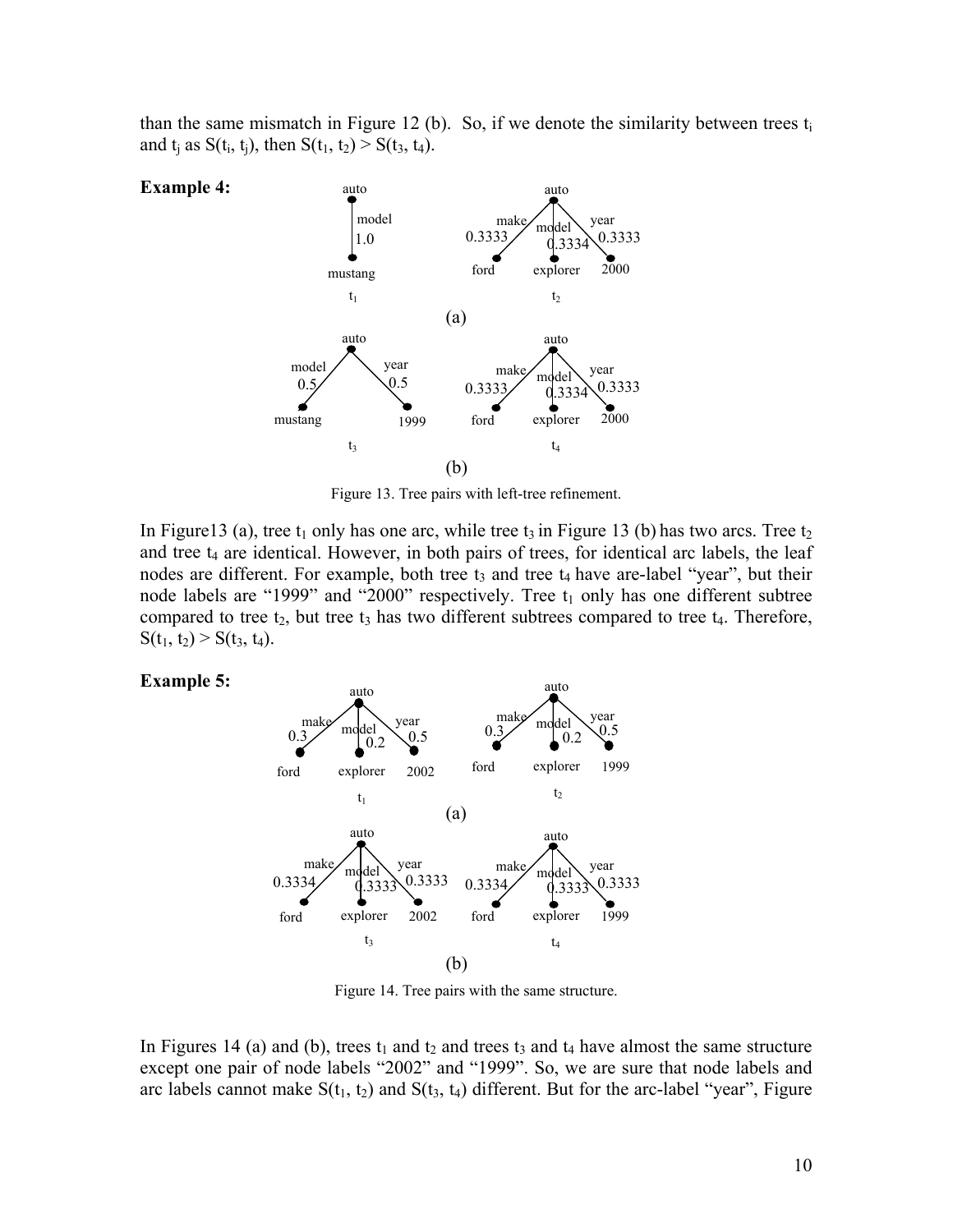than the same mismatch in Figure 12 (b). So, if we denote the similarity between trees  $t_i$ and  $t_i$  as  $S(t_i, t_i)$ , then  $S(t_1, t_2) > S(t_3, t_4)$ .



Figure 13. Tree pairs with left-tree refinement.

In Figure13 (a), tree  $t_1$  only has one arc, while tree  $t_3$  in Figure 13 (b) has two arcs. Tree  $t_2$ and tree  $t_4$  are identical. However, in both pairs of trees, for identical arc labels, the leaf nodes are different. For example, both tree  $t_3$  and tree  $t_4$  have are-label "year", but their node labels are "1999" and "2000" respectively. Tree  $t_1$  only has one different subtree compared to tree  $t_2$ , but tree  $t_3$  has two different subtrees compared to tree  $t_4$ . Therefore,  $S(t_1, t_2) > S(t_3, t_4)$ .





Figure 14. Tree pairs with the same structure.

In Figures 14 (a) and (b), trees  $t_1$  and  $t_2$  and trees  $t_3$  and  $t_4$  have almost the same structure except one pair of node labels "2002" and "1999". So, we are sure that node labels and arc labels cannot make  $S(t_1, t_2)$  and  $S(t_3, t_4)$  different. But for the arc-label "year", Figure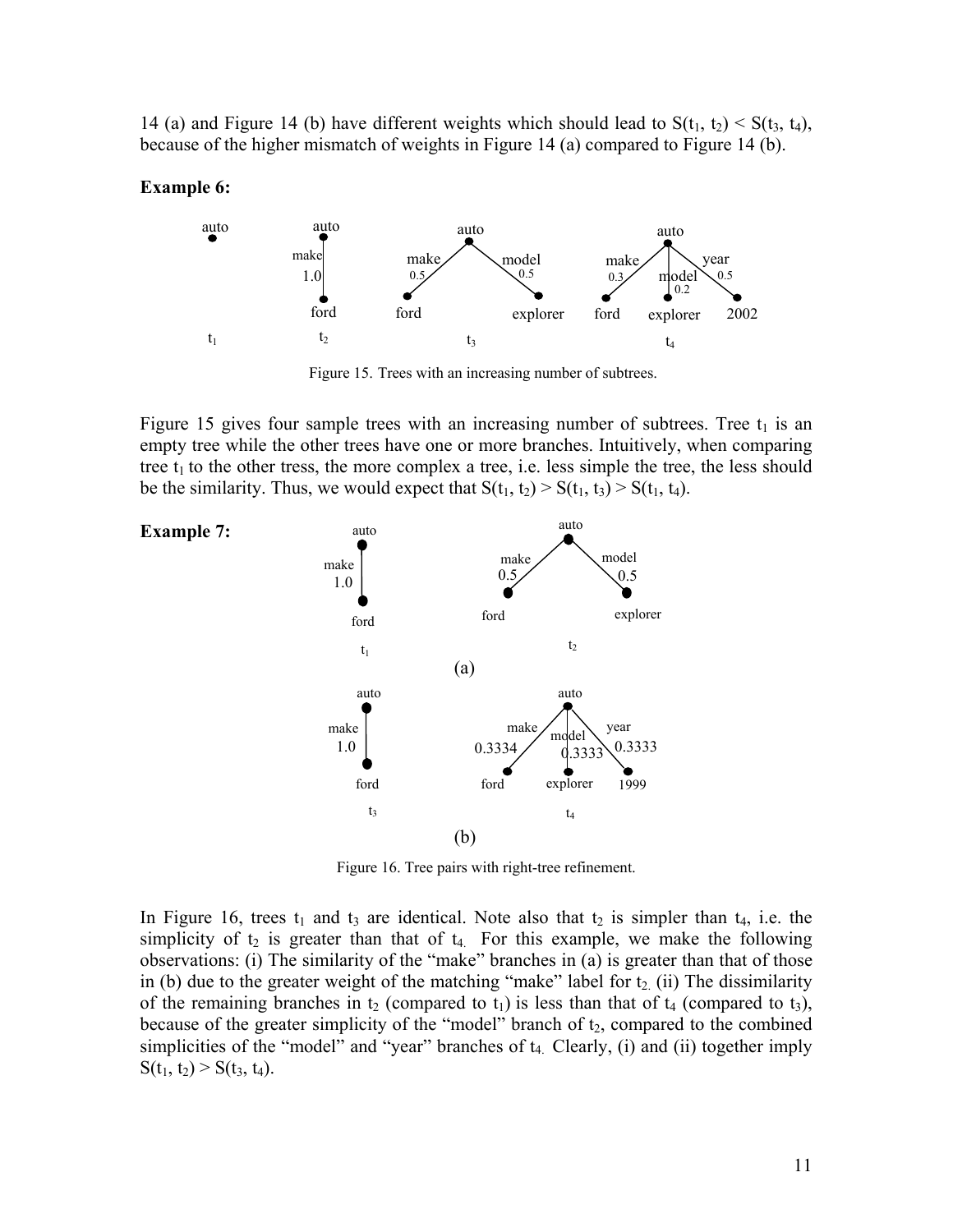14 (a) and Figure 14 (b) have different weights which should lead to  $S(t_1, t_2) < S(t_3, t_4)$ , because of the higher mismatch of weights in Figure 14 (a) compared to Figure 14 (b).

#### **Example 6:**



Figure 15. Trees with an increasing number of subtrees.

Figure 15 gives four sample trees with an increasing number of subtrees. Tree  $t_1$  is an empty tree while the other trees have one or more branches. Intuitively, when comparing tree  $t_1$  to the other tress, the more complex a tree, i.e. less simple the tree, the less should be the similarity. Thus, we would expect that  $S(t_1, t_2) > S(t_1, t_3) > S(t_1, t_4)$ .



Figure 16. Tree pairs with right-tree refinement.

In Figure 16, trees  $t_1$  and  $t_3$  are identical. Note also that  $t_2$  is simpler than  $t_4$ , i.e. the simplicity of  $t_2$  is greater than that of  $t_4$ . For this example, we make the following observations: (i) The similarity of the "make" branches in (a) is greater than that of those in (b) due to the greater weight of the matching "make" label for  $t_2$  (ii) The dissimilarity of the remaining branches in  $t_2$  (compared to  $t_1$ ) is less than that of  $t_4$  (compared to  $t_3$ ), because of the greater simplicity of the "model" branch of  $t_2$ , compared to the combined simplicities of the "model" and "year" branches of  $t_4$ . Clearly, (i) and (ii) together imply  $S(t_1, t_2) > S(t_3, t_4)$ .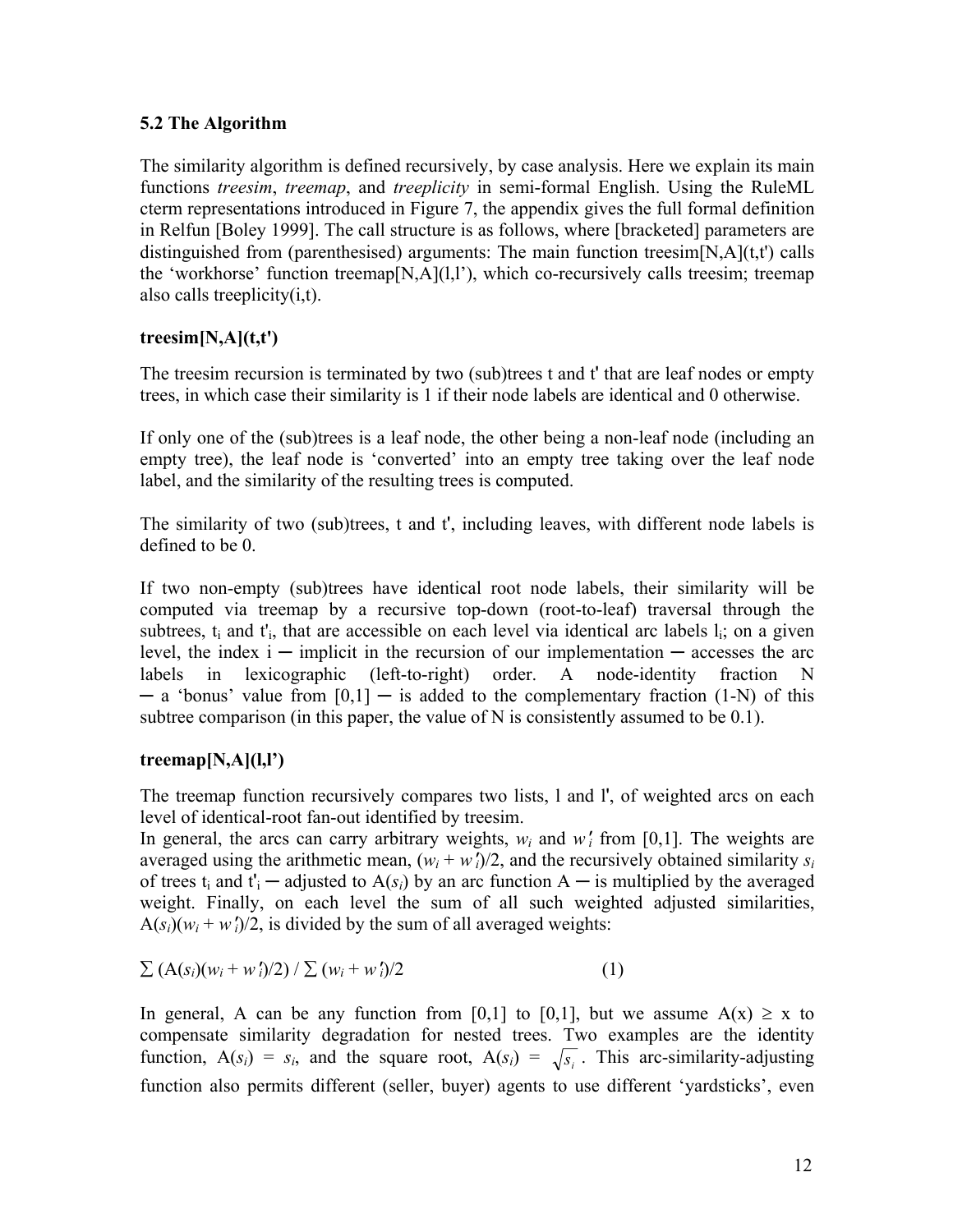# **5.2 The Algorithm**

The similarity algorithm is defined recursively, by case analysis. Here we explain its main functions *treesim*, *treemap*, and *treeplicity* in semi-formal English. Using the RuleML cterm representations introduced in Figure 7, the appendix gives the full formal definition in Relfun [Boley 1999]. The call structure is as follows, where [bracketed] parameters are distinguished from (parenthesised) arguments: The main function treesim $[N,A](t,t')$  calls the 'workhorse' function treemap $[N, A](1,1)$ , which co-recursively calls treesim; treemap also calls treeplicity(i,t).

# **treesim[N,A](t,t')**

The treesim recursion is terminated by two (sub)trees t and t' that are leaf nodes or empty trees, in which case their similarity is 1 if their node labels are identical and 0 otherwise.

If only one of the (sub)trees is a leaf node, the other being a non-leaf node (including an empty tree), the leaf node is 'converted' into an empty tree taking over the leaf node label, and the similarity of the resulting trees is computed.

The similarity of two (sub)trees, t and t', including leaves, with different node labels is defined to be 0.

If two non-empty (sub)trees have identical root node labels, their similarity will be computed via treemap by a recursive top-down (root-to-leaf) traversal through the subtrees,  $t_i$  and  $t'_i$ , that are accessible on each level via identical arc labels  $l_i$ ; on a given level, the index  $i -$  implicit in the recursion of our implementation  $-$  accesses the arc labels in lexicographic (left-to-right) order. A node-identity fraction N  $-$  a 'bonus' value from  $[0,1]$   $-$  is added to the complementary fraction (1-N) of this subtree comparison (in this paper, the value of N is consistently assumed to be 0.1).

# **treemap[N,A](l,l')**

The treemap function recursively compares two lists, l and l', of weighted arcs on each level of identical-root fan-out identified by treesim.

In general, the arcs can carry arbitrary weights,  $w_i$  and  $w'_i$  from [0,1]. The weights are averaged using the arithmetic mean,  $(w_i + w_i)/2$ , and the recursively obtained similarity  $s_i$ of trees t<sub>i</sub> and t'<sub>i</sub> — adjusted to  $A(s_i)$  by an arc function  $A$  — is multiplied by the averaged weight. Finally, on each level the sum of all such weighted adjusted similarities,  $A(s_i)(w_i + w'_i)/2$ , is divided by the sum of all averaged weights:

$$
\sum (A(s_i)(w_i + w_i')/2) / \sum (w_i + w_i')/2
$$
 (1)

In general, A can be any function from [0,1] to [0,1], but we assume  $A(x) \ge x$  to compensate similarity degradation for nested trees. Two examples are the identity function,  $A(s_i) = s_i$ , and the square root,  $A(s_i) = \sqrt{s_i}$ . This arc-similarity-adjusting function also permits different (seller, buyer) agents to use different 'yardsticks', even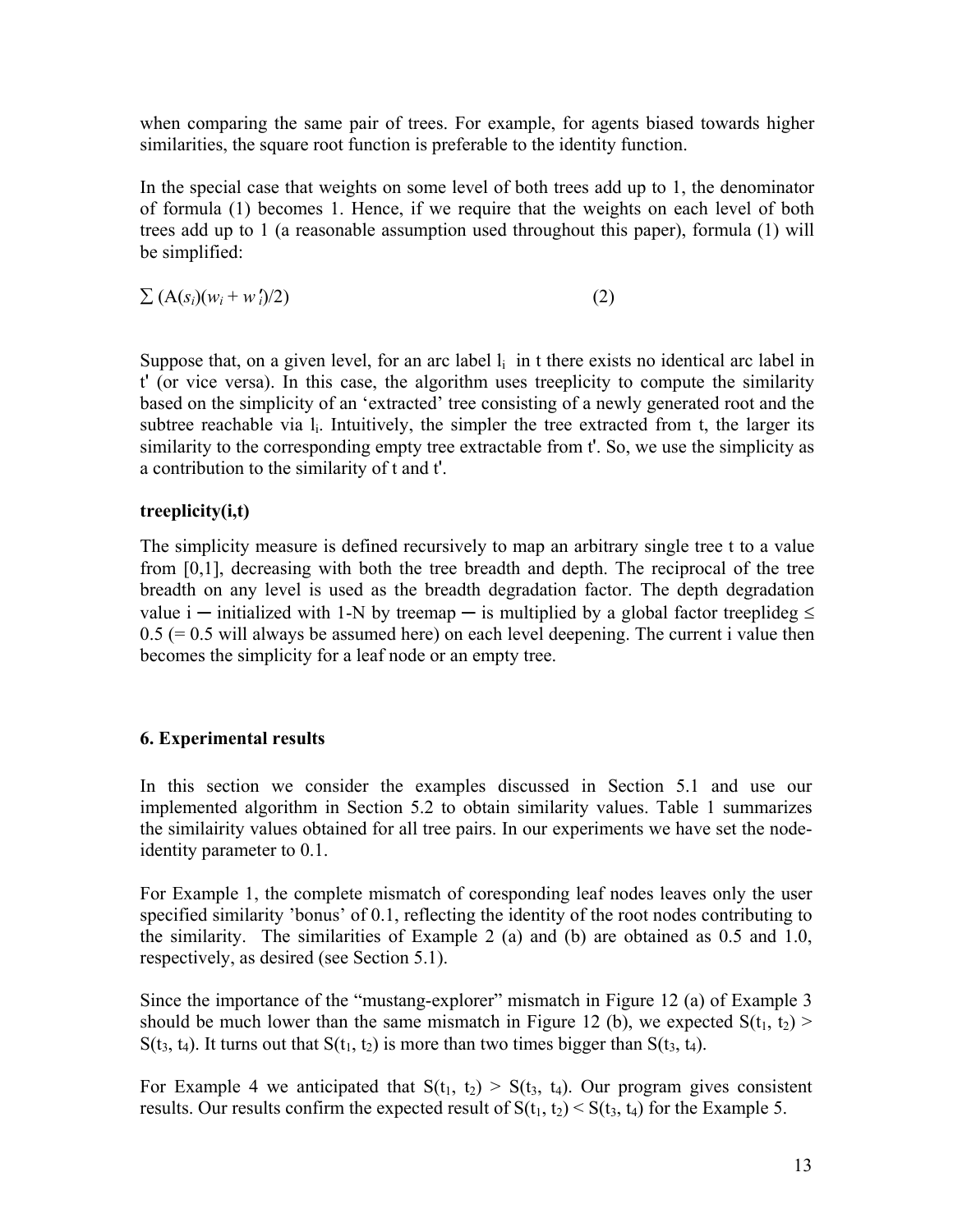when comparing the same pair of trees. For example, for agents biased towards higher similarities, the square root function is preferable to the identity function.

In the special case that weights on some level of both trees add up to 1, the denominator of formula (1) becomes 1. Hence, if we require that the weights on each level of both trees add up to 1 (a reasonable assumption used throughout this paper), formula (1) will be simplified:

 $\sum (A(s_i)(w_i + w'_i)/2)$  (2)

Suppose that, on a given level, for an arc label  $l_i$  in t there exists no identical arc label in t' (or vice versa). In this case, the algorithm uses treeplicity to compute the similarity based on the simplicity of an 'extracted' tree consisting of a newly generated root and the subtree reachable via  $l_i$ . Intuitively, the simpler the tree extracted from t, the larger its similarity to the corresponding empty tree extractable from t'. So, we use the simplicity as a contribution to the similarity of t and t'.

# **treeplicity(i,t)**

The simplicity measure is defined recursively to map an arbitrary single tree t to a value from [0,1], decreasing with both the tree breadth and depth. The reciprocal of the tree breadth on any level is used as the breadth degradation factor. The depth degradation value i — initialized with 1-N by treemap — is multiplied by a global factor treeplideg  $\leq$  $0.5$  (= 0.5 will always be assumed here) on each level deepening. The current i value then becomes the simplicity for a leaf node or an empty tree.

### **6. Experimental results**

In this section we consider the examples discussed in Section 5.1 and use our implemented algorithm in Section 5.2 to obtain similarity values. Table 1 summarizes the similairity values obtained for all tree pairs. In our experiments we have set the nodeidentity parameter to 0.1.

For Example 1, the complete mismatch of coresponding leaf nodes leaves only the user specified similarity 'bonus' of 0.1, reflecting the identity of the root nodes contributing to the similarity. The similarities of Example 2 (a) and (b) are obtained as 0.5 and 1.0, respectively, as desired (see Section 5.1).

Since the importance of the "mustang-explorer" mismatch in Figure 12 (a) of Example 3 should be much lower than the same mismatch in Figure 12 (b), we expected  $S(t_1, t_2)$  $S(t_3, t_4)$ . It turns out that  $S(t_1, t_2)$  is more than two times bigger than  $S(t_3, t_4)$ .

For Example 4 we anticipated that  $S(t_1, t_2) > S(t_3, t_4)$ . Our program gives consistent results. Our results confirm the expected result of  $S(t_1, t_2) < S(t_3, t_4)$  for the Example 5.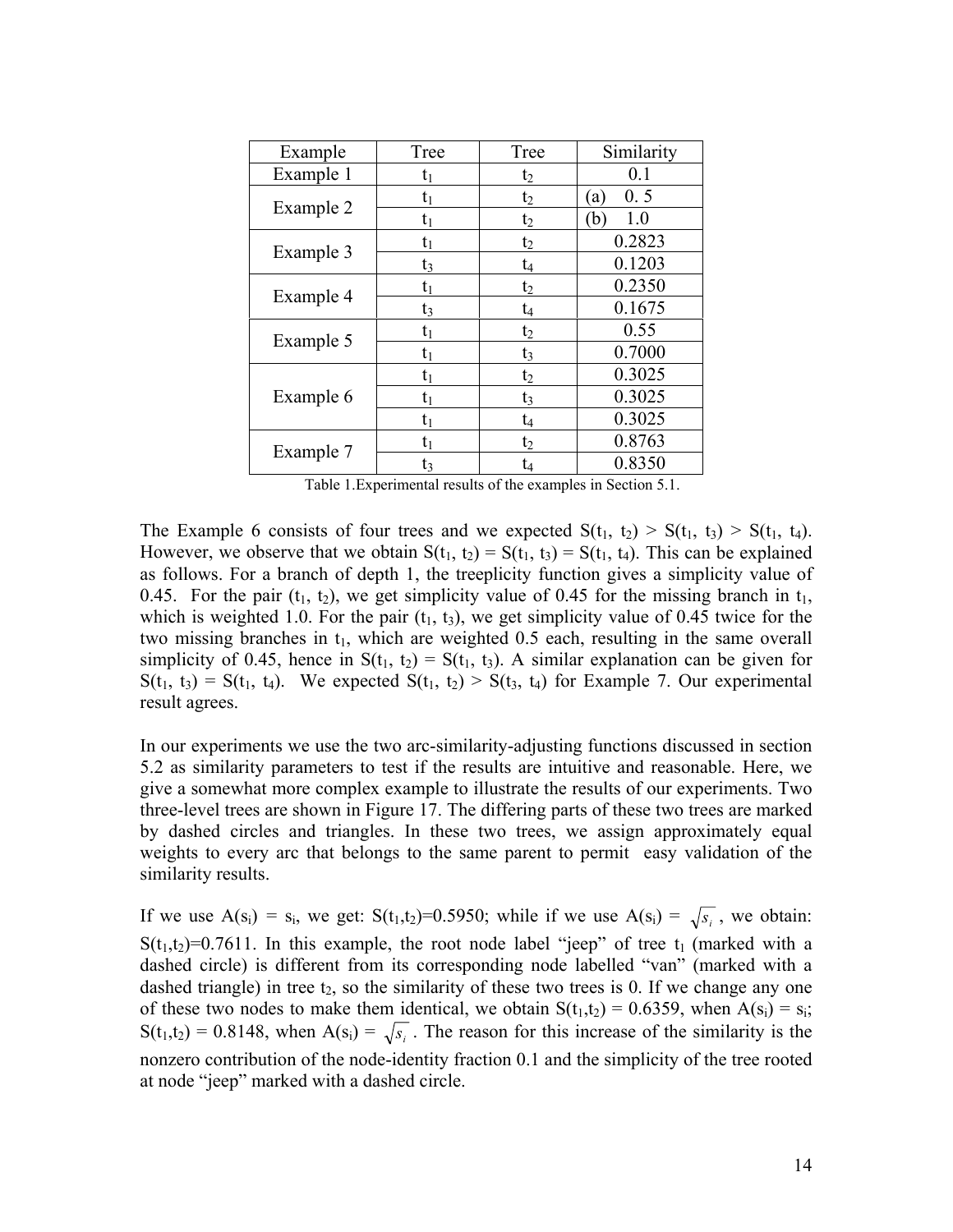| Example   | Tree           | Tree           | Similarity |
|-----------|----------------|----------------|------------|
| Example 1 | $\mathsf{t}_1$ | $t_2$          | 0.1        |
| Example 2 | $t_1$          | $t_2$          | 0.5<br>'a  |
|           | tı             | $t_2$          | 1.0<br>(b  |
| Example 3 | $\mathrm{t}_1$ | $t_2$          | 0.2823     |
|           | $t_3$          | t4             | 0.1203     |
| Example 4 | $\mathsf{t}_1$ | $t_2$          | 0.2350     |
|           | t3             | t4             | 0.1675     |
| Example 5 | $t_1$          | $t_2$          | 0.55       |
|           | $t_1$          | $t_3$          | 0.7000     |
| Example 6 | $t_1$          | $t_2$          | 0.3025     |
|           | $t_1$          | $t_3$          | 0.3025     |
|           | $t_1$          | t <sub>4</sub> | 0.3025     |
| Example 7 | $\mathrm{t}_1$ | $t_2$          | 0.8763     |
|           | t٦             | t4             | 0.8350     |

Table 1.Experimental results of the examples in Section 5.1.

The Example 6 consists of four trees and we expected  $S(t_1, t_2) > S(t_1, t_3) > S(t_1, t_4)$ . However, we observe that we obtain  $S(t_1, t_2) = S(t_1, t_3) = S(t_1, t_4)$ . This can be explained as follows. For a branch of depth 1, the treeplicity function gives a simplicity value of 0.45. For the pair  $(t_1, t_2)$ , we get simplicity value of 0.45 for the missing branch in  $t_1$ , which is weighted 1.0. For the pair  $(t_1, t_3)$ , we get simplicity value of 0.45 twice for the two missing branches in  $t_1$ , which are weighted 0.5 each, resulting in the same overall simplicity of 0.45, hence in  $S(t_1, t_2) = S(t_1, t_3)$ . A similar explanation can be given for  $S(t_1, t_3) = S(t_1, t_4)$ . We expected  $S(t_1, t_2) > S(t_3, t_4)$  for Example 7. Our experimental result agrees.

In our experiments we use the two arc-similarity-adjusting functions discussed in section 5.2 as similarity parameters to test if the results are intuitive and reasonable. Here, we give a somewhat more complex example to illustrate the results of our experiments. Two three-level trees are shown in Figure 17. The differing parts of these two trees are marked by dashed circles and triangles. In these two trees, we assign approximately equal weights to every arc that belongs to the same parent to permit easy validation of the similarity results.

If we use  $A(s_i) = s_i$ , we get:  $S(t_1, t_2) = 0.5950$ ; while if we use  $A(s_i) = \sqrt{s_i}$ , we obtain:  $S(t_1,t_2)=0.7611$ . In this example, the root node label "jeep" of tree  $t_1$  (marked with a dashed circle) is different from its corresponding node labelled "van" (marked with a dashed triangle) in tree  $t_2$ , so the similarity of these two trees is 0. If we change any one of these two nodes to make them identical, we obtain  $S(t_1,t_2) = 0.6359$ , when  $A(s_i) = s_i$ ;  $S(t_1,t_2) = 0.8148$ , when  $A(s_i) = \sqrt{s_i}$ . The reason for this increase of the similarity is the nonzero contribution of the node-identity fraction 0.1 and the simplicity of the tree rooted at node "jeep" marked with a dashed circle.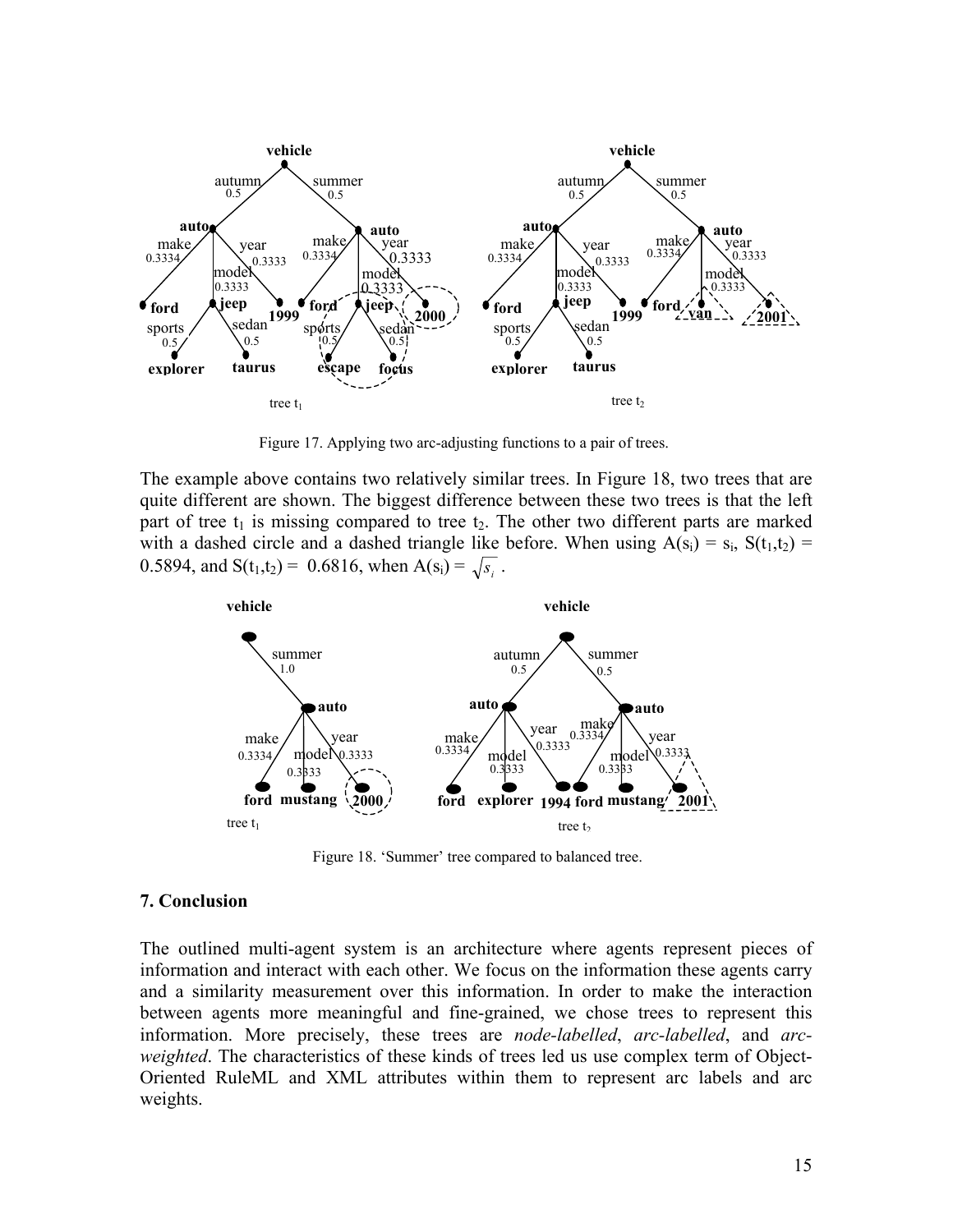

Figure 17. Applying two arc-adjusting functions to a pair of trees.

The example above contains two relatively similar trees. In Figure 18, two trees that are quite different are shown. The biggest difference between these two trees is that the left part of tree  $t_1$  is missing compared to tree  $t_2$ . The other two different parts are marked with a dashed circle and a dashed triangle like before. When using  $A(s_i) = s_i$ ,  $S(t_1,t_2) =$ 0.5894, and  $S(t_1,t_2) = 0.6816$ , when  $A(s_i) = \sqrt{s_i}$ .



Figure 18. 'Summer' tree compared to balanced tree.

#### **7. Conclusion**

The outlined multi-agent system is an architecture where agents represent pieces of information and interact with each other. We focus on the information these agents carry and a similarity measurement over this information. In order to make the interaction between agents more meaningful and fine-grained, we chose trees to represent this information. More precisely, these trees are *node-labelled*, *arc-labelled*, and *arcweighted*. The characteristics of these kinds of trees led us use complex term of Object-Oriented RuleML and XML attributes within them to represent arc labels and arc weights.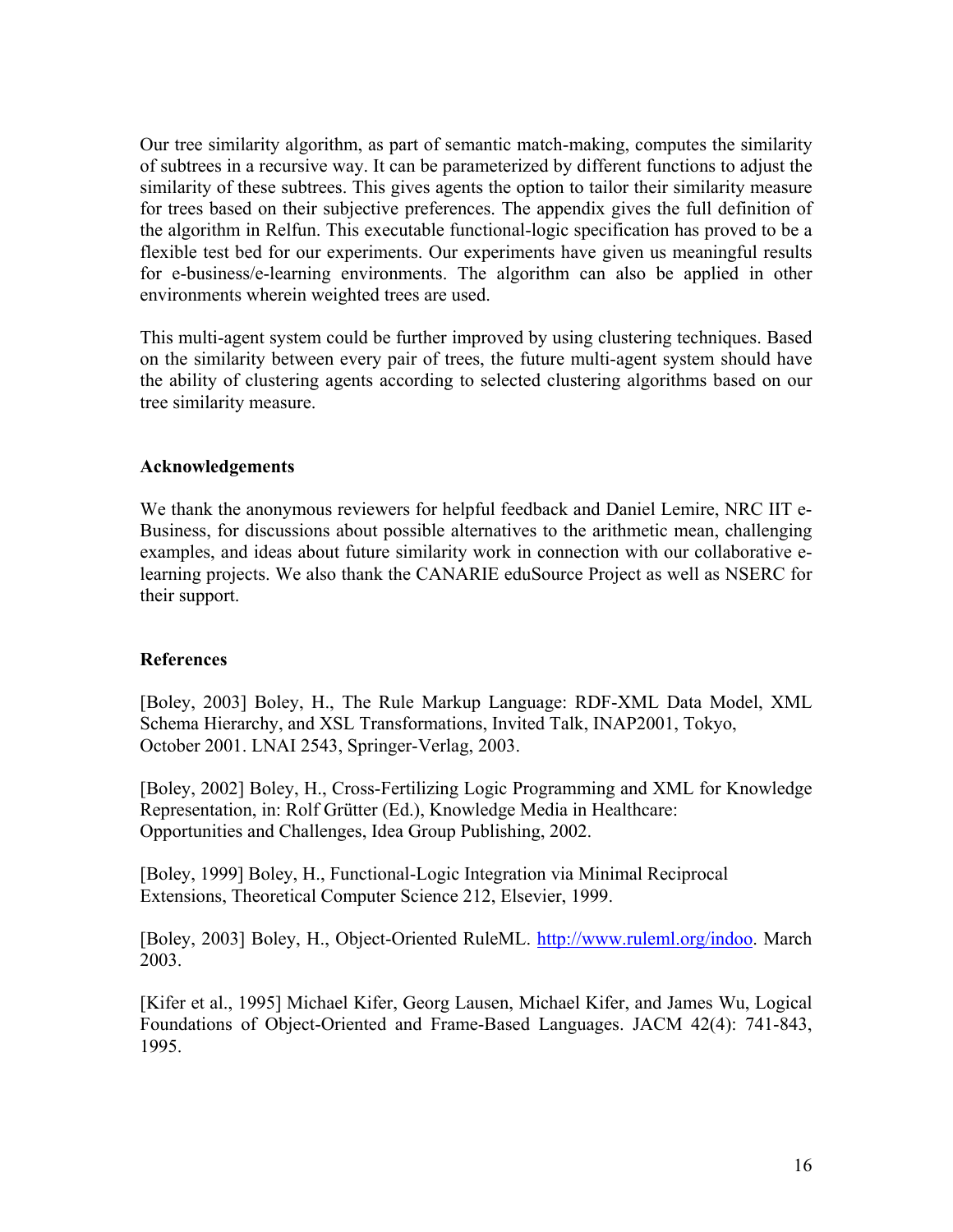Our tree similarity algorithm, as part of semantic match-making, computes the similarity of subtrees in a recursive way. It can be parameterized by different functions to adjust the similarity of these subtrees. This gives agents the option to tailor their similarity measure for trees based on their subjective preferences. The appendix gives the full definition of the algorithm in Relfun. This executable functional-logic specification has proved to be a flexible test bed for our experiments. Our experiments have given us meaningful results for e-business/e-learning environments. The algorithm can also be applied in other environments wherein weighted trees are used.

This multi-agent system could be further improved by using clustering techniques. Based on the similarity between every pair of trees, the future multi-agent system should have the ability of clustering agents according to selected clustering algorithms based on our tree similarity measure.

# **Acknowledgements**

We thank the anonymous reviewers for helpful feedback and Daniel Lemire, NRC IIT e-Business, for discussions about possible alternatives to the arithmetic mean, challenging examples, and ideas about future similarity work in connection with our collaborative elearning projects. We also thank the CANARIE eduSource Project as well as NSERC for their support.

# **References**

[Boley, 2003] Boley, H., The Rule Markup Language: RDF-XML Data Model, XML Schema Hierarchy, and XSL Transformations, Invited Talk, INAP2001, Tokyo, October 2001. LNAI 2543, Springer-Verlag, 2003.

[Boley, 2002] Boley, H., Cross-Fertilizing Logic Programming and XML for Knowledge Representation, in: Rolf Grütter (Ed.), Knowledge Media in Healthcare: Opportunities and Challenges, Idea Group Publishing, 2002.

[Boley, 1999] Boley, H., Functional-Logic Integration via Minimal Reciprocal Extensions, Theoretical Computer Science 212, Elsevier, 1999.

[Boley, 2003] Boley, H., Object-Oriented RuleML. [http://www.ruleml.org/indoo.](http://www.ruleml.org/indoo) March 2003.

[Kifer et al., 1995] Michael Kifer, Georg Lausen, Michael Kifer, and James Wu, Logical Foundations of Object-Oriented and Frame-Based Languages. JACM 42(4): 741-843, 1995.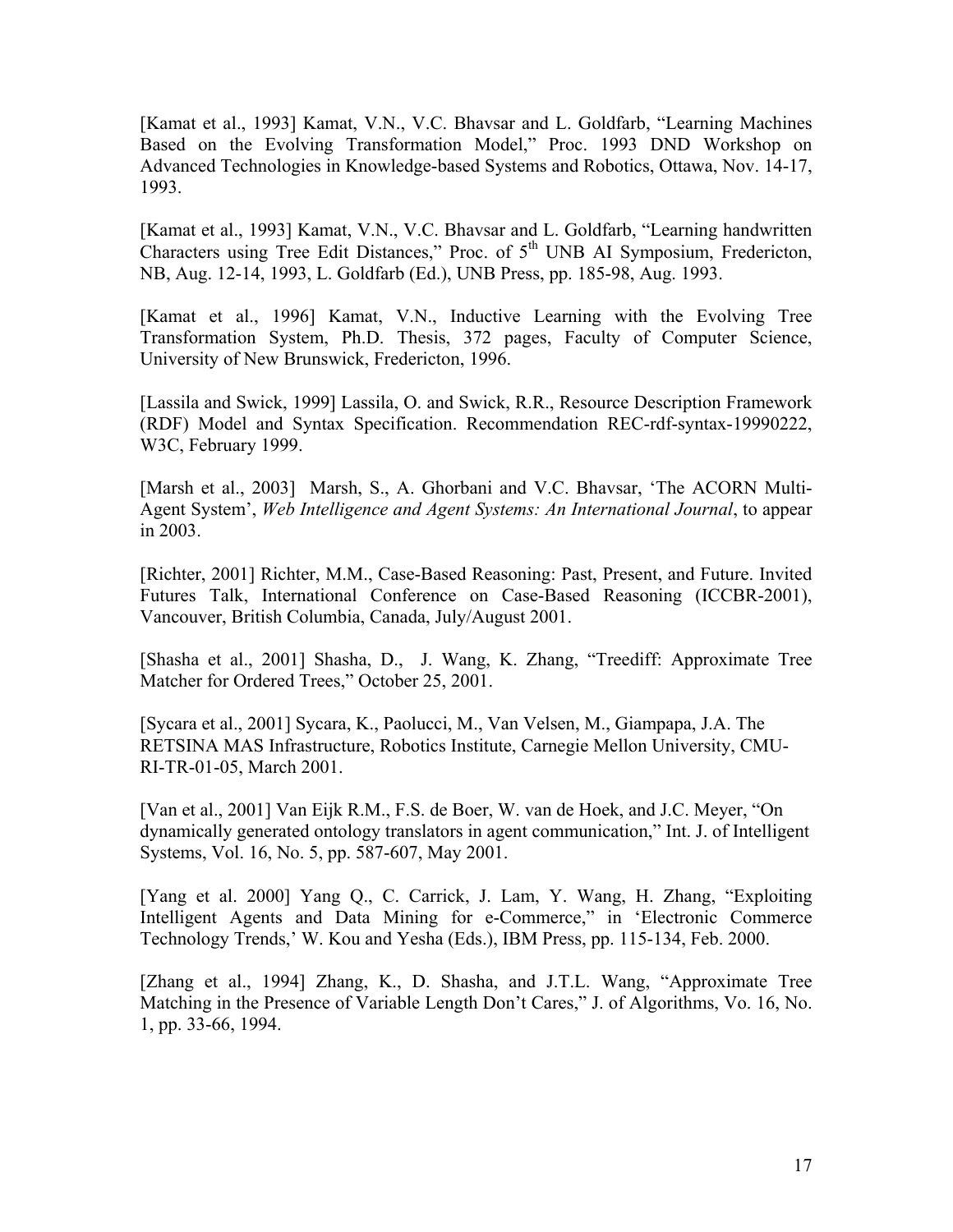[Kamat et al., 1993] Kamat, V.N., V.C. Bhavsar and L. Goldfarb, "Learning Machines Based on the Evolving Transformation Model," Proc. 1993 DND Workshop on Advanced Technologies in Knowledge-based Systems and Robotics, Ottawa, Nov. 14-17, 1993.

[Kamat et al., 1993] Kamat, V.N., V.C. Bhavsar and L. Goldfarb, "Learning handwritten Characters using Tree Edit Distances," Proc. of 5<sup>th</sup> UNB AI Symposium, Fredericton, NB, Aug. 12-14, 1993, L. Goldfarb (Ed.), UNB Press, pp. 185-98, Aug. 1993.

[Kamat et al., 1996] Kamat, V.N., Inductive Learning with the Evolving Tree Transformation System, Ph.D. Thesis, 372 pages, Faculty of Computer Science, University of New Brunswick, Fredericton, 1996.

[Lassila and Swick, 1999] Lassila, O. and Swick, R.R., Resource Description Framework (RDF) Model and Syntax Specification. Recommendation REC-rdf-syntax-19990222, W3C, February 1999.

[Marsh et al., 2003] Marsh, S., A. Ghorbani and V.C. Bhavsar, 'The ACORN Multi-Agent System', *Web Intelligence and Agent Systems: An International Journal*, to appear in 2003.

[Richter, 2001] Richter, M.M., Case-Based Reasoning: Past, Present, and Future. Invited Futures Talk, International Conference on Case-Based Reasoning (ICCBR-2001), Vancouver, British Columbia, Canada, July/August 2001.

[Shasha et al., 2001] Shasha, D., J. Wang, K. Zhang, "Treediff: Approximate Tree Matcher for Ordered Trees," October 25, 2001.

[Sycara et al., 2001] Sycara, K., Paolucci, M., Van Velsen, M., Giampapa, J.A. The RETSINA MAS Infrastructure, Robotics Institute, Carnegie Mellon University, CMU-RI-TR-01-05, March 2001.

[Van et al., 2001] Van Eijk R.M., F.S. de Boer, W. van de Hoek, and J.C. Meyer, "On dynamically generated ontology translators in agent communication," Int. J. of Intelligent Systems, Vol. 16, No. 5, pp. 587-607, May 2001.

[Yang et al. 2000] Yang Q., C. Carrick, J. Lam, Y. Wang, H. Zhang, "Exploiting Intelligent Agents and Data Mining for e-Commerce," in 'Electronic Commerce Technology Trends,' W. Kou and Yesha (Eds.), IBM Press, pp. 115-134, Feb. 2000.

[Zhang et al., 1994] Zhang, K., D. Shasha, and J.T.L. Wang, "Approximate Tree Matching in the Presence of Variable Length Don't Cares," J. of Algorithms, Vo. 16, No. 1, pp. 33-66, 1994.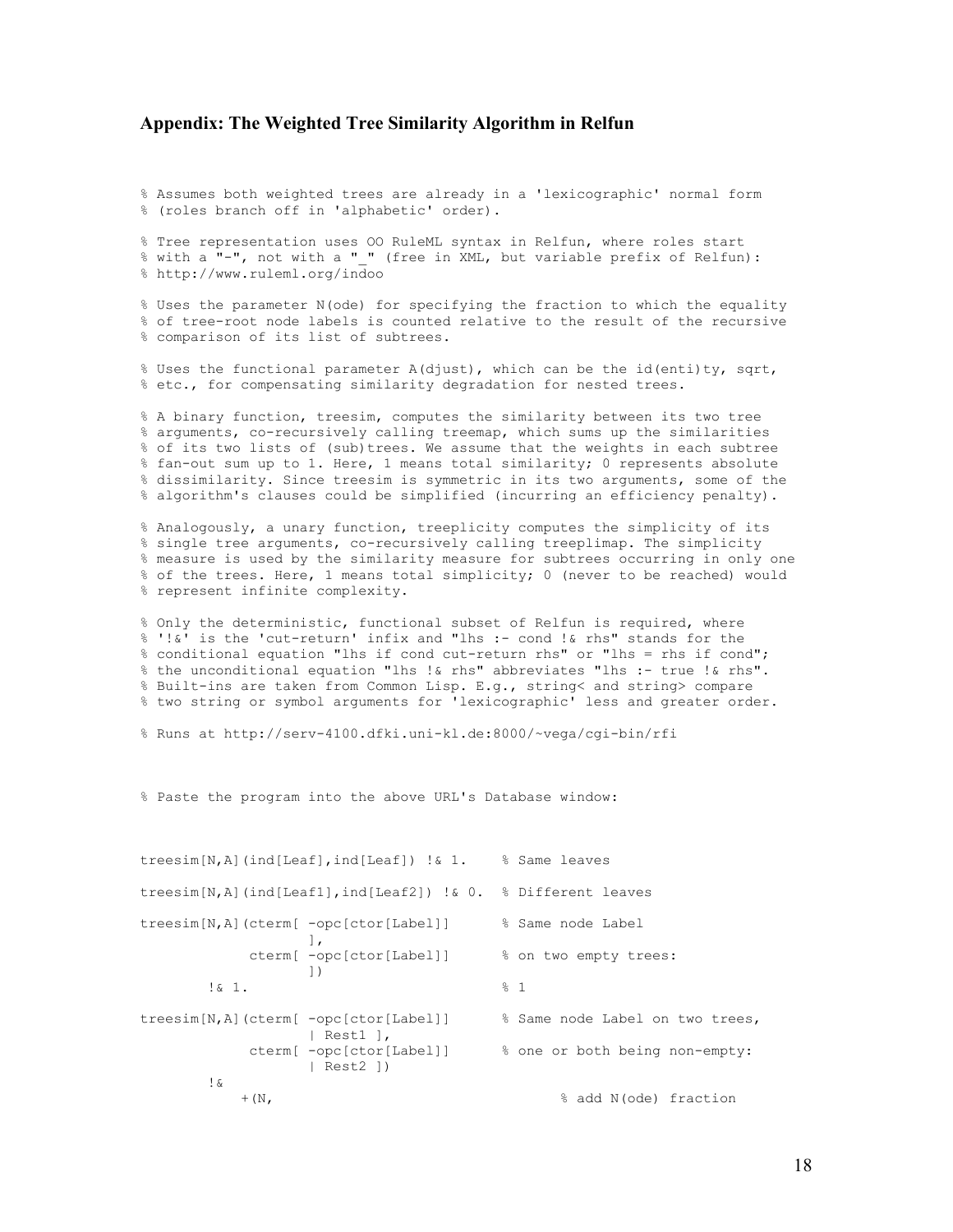#### **Appendix: The Weighted Tree Similarity Algorithm in Relfun**

% Assumes both weighted trees are already in a 'lexicographic' normal form % (roles branch off in 'alphabetic' order).

% Tree representation uses OO RuleML syntax in Relfun, where roles start % with a "-", not with a " " (free in XML, but variable prefix of Relfun): % http://www.ruleml.org/indoo

% Uses the parameter N(ode) for specifying the fraction to which the equality % of tree-root node labels is counted relative to the result of the recursive % comparison of its list of subtrees.

% Uses the functional parameter A(djust), which can be the id(enti)ty, sqrt, % etc., for compensating similarity degradation for nested trees.

% A binary function, treesim, computes the similarity between its two tree % arguments, co-recursively calling treemap, which sums up the similarities % of its two lists of (sub)trees. We assume that the weights in each subtree % fan-out sum up to 1. Here, 1 means total similarity; 0 represents absolute % dissimilarity. Since treesim is symmetric in its two arguments, some of the % algorithm's clauses could be simplified (incurring an efficiency penalty).

% Analogously, a unary function, treeplicity computes the simplicity of its % single tree arguments, co-recursively calling treeplimap. The simplicity % measure is used by the similarity measure for subtrees occurring in only one % of the trees. Here, 1 means total simplicity; 0 (never to be reached) would % represent infinite complexity.

% Only the deterministic, functional subset of Relfun is required, where % '!&' is the 'cut-return' infix and "lhs :- cond !& rhs" stands for the % conditional equation "lhs if cond cut-return rhs" or "lhs = rhs if cond"; % the unconditional equation "lhs !& rhs" abbreviates "lhs :- true !& rhs". % Built-ins are taken from Common Lisp. E.g., string< and string> compare % two string or symbol arguments for 'lexicographic' less and greater order.

% Runs at http://serv-4100.dfki.uni-kl.de:8000/~vega/cgi-bin/rfi

% Paste the program into the above URL's Database window:

```
treesim[N,A](ind[Leaf],ind[Leaf]) !& 1. % Same leaves 
treesim[N,A](ind[Leaf1],ind[Leaf2]) !& 0. % Different leaves 
treesim[N,A](cterm[ -opc[ctor[Label]] % Same node Label 
                  \Box,
             cterm[ -opc[ctor[Label]] % on two empty trees: 
       \frac{1}{8} \frac{1}{1} \frac{1}{1}\frac{1}{6} 1. \frac{2}{3} 1
treesim[N,A](cterm[ -opc[ctor[Label]] % Same node Label on two trees, 
            | Rest1 ],<br>| cterm[ -opc[ctor[Label]]
                                        % one or both being non-empty:
                    | Rest2 ]) 
       \mathsf{L} +(N, % add N(ode) fraction
```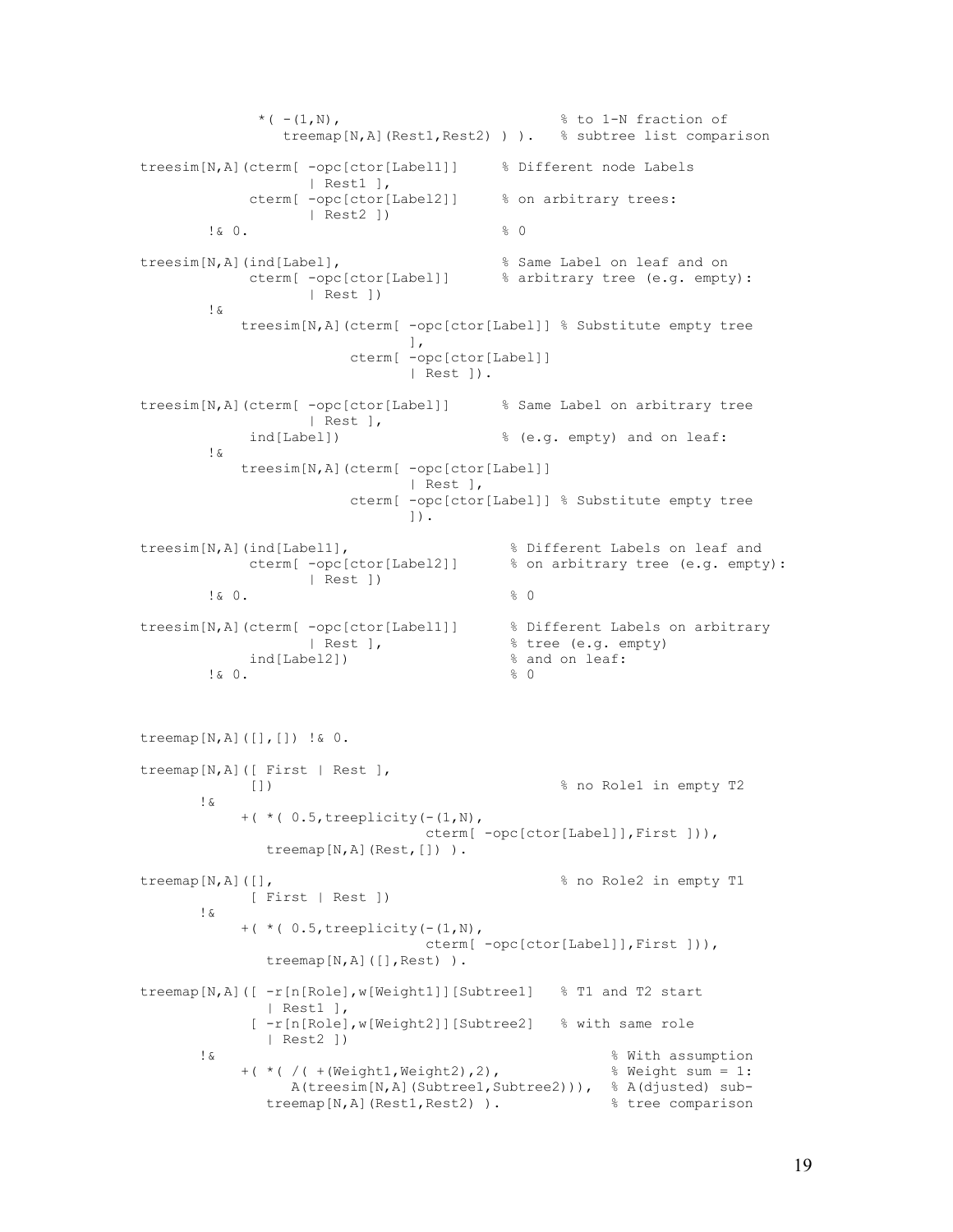```
*( -1, N), * (-1, N), treemap[N,A](Rest1,Rest2) ) ). % subtree list comparison 
treesim[N,A](cterm[ -opc[ctor[Label1]] % Different node Labels 
                         | Rest1 ], 
                 cterm[ -opc[ctor[Label2]] % on arbitrary trees: 
          | \text{Rest2 } ])<br>| \& 0.\frac{1}{2} & 0.
treesim[N,A](ind[Label], % Same Label on leaf and on 
                 cterm[ -opc[ctor[Label]] % arbitrary tree (e.g. empty): 
                          | Rest ]) 
           !& 
                treesim[N,A](cterm[ -opc[ctor[Label]] % Substitute empty tree 
\sim 1.
                                cterm[ -opc[ctor[Label]] 
                                         | Rest ]). 
treesim[N,A](cterm[ -opc[ctor[Label]] % Same Label on arbitrary tree 
                | Rest ],<br>ind[Label])
                                                     % (e.g. empty) and on leaf:
           !& 
                treesim[N,A](cterm[ -opc[ctor[Label]] 
                                         | Rest ], 
                                cterm[ -opc[ctor[Label]] % Substitute empty tree 
\Box).
treesim[N,A](ind[Label1],<br>cterm[ -opc[ctor[Label2]] % on arbitrary tree (e.g. empty
                                                     % on arbitrary tree (e.g. empty):
                          | Rest ]) 
\frac{1}{2} & 0.
treesim[N,A](cterm[ -opc[ctor[Label1]] % Different Labels on arbitrary 
                         | Rest ], \frac{1}{8} tree (e.g. empty)<br>
hel21) \frac{1}{8} and on leaf:
          ind[Label2]) \begin{array}{ccc} & & \text{if } 8 \text{ and } \\ & & \text{if } 9 \text{ and } \\ & & \text{if } 9 \text{ and } \\ & & \text{if } 9 \text{ and } \\ & & \text{if } 9 \text{ and } \\ & & \text{if } 9 \text{ and } \\ & & \text{if } 9 \text{ and } \\ & & \text{if } 9 \text{ and } \\ & & \text{if } 9 \text{ and } \\ & & \text{if } 9 \text{ and } \\ & & \text{if } 9 \text{ and } \\ & & \text{if } 9 \text{ and } \\ & & \text{if } 9 \text{ and } \\ & & \text{if } 9 \\frac{1}{2} & 0.
treemap[N,A]([],[]) !& 0. 
treemap[N,A]([ First | Rest ], 
                 []) % no Role1 in empty T2 
          !& 
               +( *( 0.5, treeplicity(-(1,N),
                                            cterm[ -opc[ctor[Label]],First ])), 
                   treemap[N,A](Rest,[]) ). 
treemap[N,A]([], \frac{1}{2} and Role2 in empty T1
                [ First | Rest ]) 
          !& 
               +( *( 0.5, treeplicity(- (1, N), cterm[ -opc[ctor[Label]],First ])), 
                   treemap[N,A]([],Rest) ). 
treemap[N,A]([ -r[n[Role],w[Weight1]][Subtree1] % T1 and T2 start 
                    | Rest1 ], 
                  [ -r[n[Role],w[Weight2]][Subtree2] % with same role 
                    | Rest2 ]) 
         \frac{1}{6} \frac{1}{6} \frac{1}{6} \frac{1}{6} \frac{1}{6} \frac{1}{6} \frac{1}{6} \frac{1}{6} \frac{1}{6} \frac{1}{6} \frac{1}{6} \frac{1}{6} \frac{1}{6} \frac{1}{6} \frac{1}{6} \frac{1}{6} \frac{1}{6} \frac{1}{6} \frac{1}{6} \frac{1}{6} \frac{1}{6} \frac{1}{6} +(-*) / + (Weight1, Weight2), 2),
                      A(treesim[N,A] (Subtree1,Subtree2))), % A(djusted) sub-<br>semap[N,A] (Rest1, Rest2) ). % tree comparisontreemap[N, A] (Rest1, Rest2) ).
```